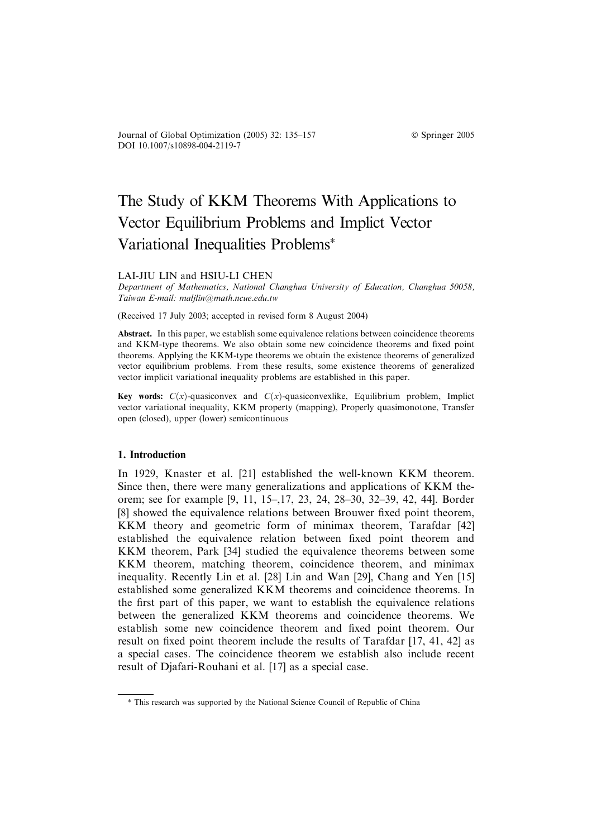Journal of Global Optimization (2005) 32: 135–157 Springer 2005 DOI 10.1007/s10898-004-2119-7

# The Study of KKM Theorems With Applications to Vector Equilibrium Problems and Implict Vector Variational Inequalities Problems

# LAI-JIU LIN and HSIU-LI CHEN

Department of Mathematics, National Changhua University of Education, Changhua 50058, Taiwan E-mail: maljlin@math.ncue.edu.tw

(Received 17 July 2003; accepted in revised form 8 August 2004)

Abstract. In this paper, we establish some equivalence relations between coincidence theorems and KKM-type theorems. We also obtain some new coincidence theorems and fixed point theorems. Applying the KKM-type theorems we obtain the existence theorems of generalized vector equilibrium problems. From these results, some existence theorems of generalized vector implicit variational inequality problems are established in this paper.

Key words:  $C(x)$ -quasiconvex and  $C(x)$ -quasiconvexlike, Equilibrium problem, Implict vector variational inequality, KKM property (mapping), Properly quasimonotone, Transfer open (closed), upper (lower) semicontinuous

# 1. Introduction

In 1929, Knaster et al. [21] established the well-known KKM theorem. Since then, there were many generalizations and applications of KKM theorem; see for example [9, 11, 15–,17, 23, 24, 28–30, 32–39, 42, 44]. Border [8] showed the equivalence relations between Brouwer fixed point theorem, KKM theory and geometric form of minimax theorem, Tarafdar [42] established the equivalence relation between fixed point theorem and KKM theorem, Park [34] studied the equivalence theorems between some KKM theorem, matching theorem, coincidence theorem, and minimax inequality. Recently Lin et al. [28] Lin and Wan [29], Chang and Yen [15] established some generalized KKM theorems and coincidence theorems. In the first part of this paper, we want to establish the equivalence relations between the generalized KKM theorems and coincidence theorems. We establish some new coincidence theorem and fixed point theorem. Our result on fixed point theorem include the results of Tarafdar [17, 41, 42] as a special cases. The coincidence theorem we establish also include recent result of Djafari-Rouhani et al. [17] as a special case.

<sup>\*</sup> This research was supported by the National Science Council of Republic of China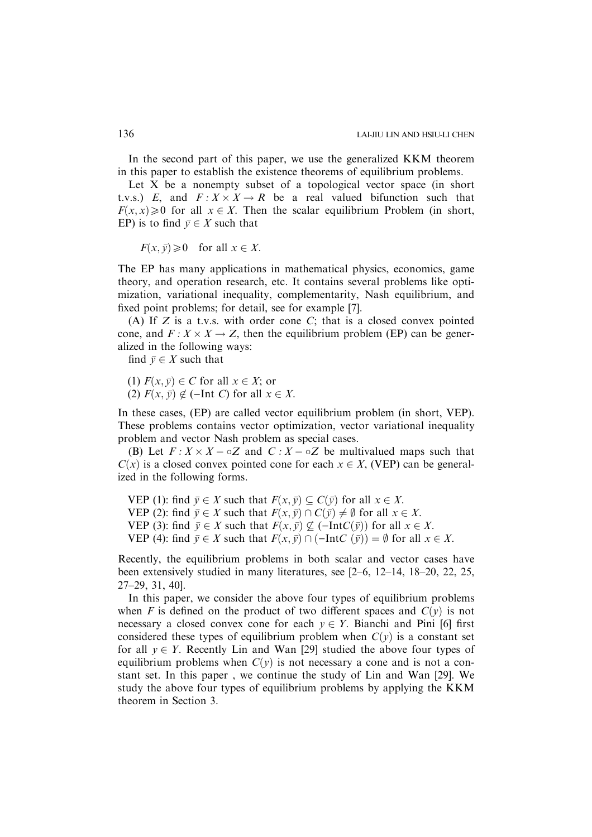In the second part of this paper, we use the generalized KKM theorem in this paper to establish the existence theorems of equilibrium problems.

Let  $X$  be a nonempty subset of a topological vector space (in short t.v.s.) E, and  $F: X \times X \to R$  be a real valued bifunction such that  $F(x, x) \ge 0$  for all  $x \in X$ . Then the scalar equilibrium Problem (in short, EP) is to find  $\bar{v} \in X$  such that

 $F(x, \bar{y}) \geq 0$  for all  $x \in X$ .

The EP has many applications in mathematical physics, economics, game theory, and operation research, etc. It contains several problems like optimization, variational inequality, complementarity, Nash equilibrium, and fixed point problems; for detail, see for example [7].

(A) If  $Z$  is a t.v.s. with order cone  $C$ ; that is a closed convex pointed cone, and  $F: X \times X \to Z$ , then the equilibrium problem (EP) can be generalized in the following ways:

find  $\bar{y} \in X$  such that

(1)  $F(x, \bar{y}) \in C$  for all  $x \in X$ ; or (2)  $F(x, \bar{y}) \notin (-Int C)$  for all  $x \in X$ .

In these cases, (EP) are called vector equilibrium problem (in short, VEP). These problems contains vector optimization, vector variational inequality problem and vector Nash problem as special cases.

(B) Let  $F: X \times X - \circ Z$  and  $C: X - \circ Z$  be multivalued maps such that  $C(x)$  is a closed convex pointed cone for each  $x \in X$ , (VEP) can be generalized in the following forms.

VEP (1): find  $\bar{y} \in X$  such that  $F(x, \bar{y}) \subseteq C(\bar{y})$  for all  $x \in X$ . VEP (2): find  $\bar{y} \in X$  such that  $F(x, \bar{y}) \cap C(\bar{y}) \neq \emptyset$  for all  $x \in X$ . VEP (3): find  $\bar{y} \in X$  such that  $F(x, \bar{y}) \nsubseteq (-IntC(\bar{y}))$  for all  $x \in X$ . VEP (4): find  $\bar{v} \in X$  such that  $F(x, \bar{v}) \cap (-IntC(\bar{v})) = \emptyset$  for all  $x \in X$ .

Recently, the equilibrium problems in both scalar and vector cases have been extensively studied in many literatures, see [2–6, 12–14, 18–20, 22, 25, 27–29, 31, 40].

In this paper, we consider the above four types of equilibrium problems when F is defined on the product of two different spaces and  $C(y)$  is not necessary a closed convex cone for each  $y \in Y$ . Bianchi and Pini [6] first considered these types of equilibrium problem when  $C(y)$  is a constant set for all  $y \in Y$ . Recently Lin and Wan [29] studied the above four types of equilibrium problems when  $C(y)$  is not necessary a cone and is not a constant set. In this paper , we continue the study of Lin and Wan [29]. We study the above four types of equilibrium problems by applying the KKM theorem in Section 3.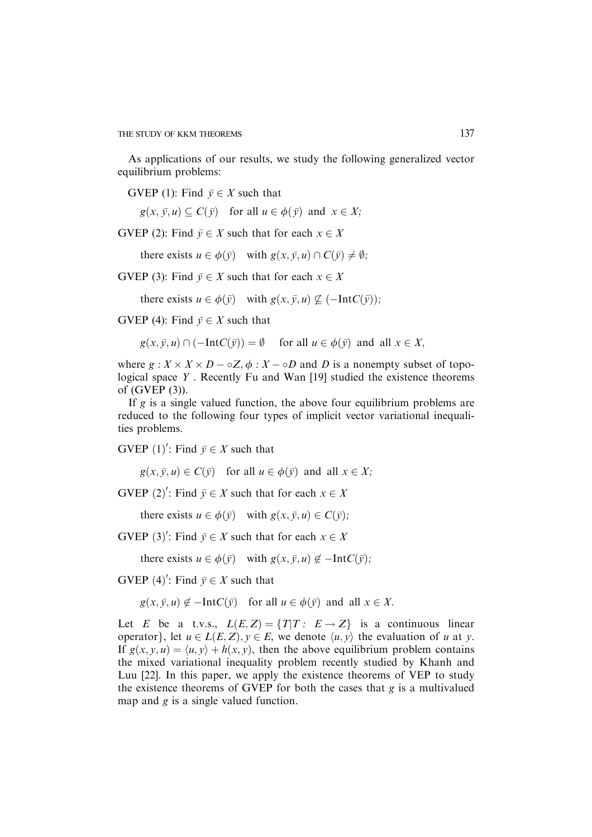As applications of our results, we study the following generalized vector equilibrium problems:

GVEP (1): Find  $\bar{y} \in X$  such that

 $g(x, \bar{y}, u) \subseteq C(\bar{y})$  for all  $u \in \phi(\bar{y})$  and  $x \in X$ ;

GVEP (2): Find  $\bar{y} \in X$  such that for each  $x \in X$ 

there exists  $u \in \phi(\bar{v})$  with  $g(x, \bar{v}, u) \cap C(\bar{v}) \neq \emptyset$ ;

GVEP (3): Find  $\bar{y} \in X$  such that for each  $x \in X$ 

there exists  $u \in \phi(\bar{y})$  with  $g(x, \bar{y}, u) \nsubseteq (-IntC(\bar{y}))$ ;

GVEP (4): Find  $\bar{y} \in X$  such that

 $g(x, \bar{y}, u) \cap (-IntC(\bar{y})) = \emptyset$  for all  $u \in \phi(\bar{y})$  and all  $x \in X$ ;

where  $g: X \times X \times D - \circ Z$ ,  $\phi: X - \circ D$  and D is a nonempty subset of topological space Y . Recently Fu and Wan [19] studied the existence theorems of (GVEP (3)).

If  $g$  is a single valued function, the above four equilibrium problems are reduced to the following four types of implicit vector variational inequalities problems.

GVEP  $(1)'$ : Find  $\bar{y} \in X$  such that

 $g(x, \bar{y}, u) \in C(\bar{y})$  for all  $u \in \phi(\bar{y})$  and all  $x \in X$ ;

GVEP  $(2)'$ : Find  $\bar{y} \in X$  such that for each  $x \in X$ 

there exists  $u \in \phi(\bar{y})$  with  $g(x, \bar{y}, u) \in C(\bar{y})$ ;

GVEP (3)': Find  $\bar{y} \in X$  such that for each  $x \in X$ 

there exists  $u \in \phi(\bar{y})$  with  $g(x, \bar{y}, u) \notin -IntC(\bar{y})$ ;

GVEP (4)': Find  $\bar{y} \in X$  such that

 $g(x, \bar{y}, u) \notin -IntC(\bar{y})$  for all  $u \in \phi(\bar{y})$  and all  $x \in X$ .

Let E be a t.v.s.,  $L(E, Z) = \{T|T: E \rightarrow Z\}$  is a continuous linear operator}, let  $u \in L(E, Z), y \in E$ , we denote  $\langle u, v \rangle$  the evaluation of u at y. If  $g(x, y, u) = \langle u, v \rangle + h(x, y)$ , then the above equilibrium problem contains the mixed variational inequality problem recently studied by Khanh and Luu [22]. In this paper, we apply the existence theorems of VEP to study the existence theorems of GVEP for both the cases that  $g$  is a multivalued map and  $g$  is a single valued function.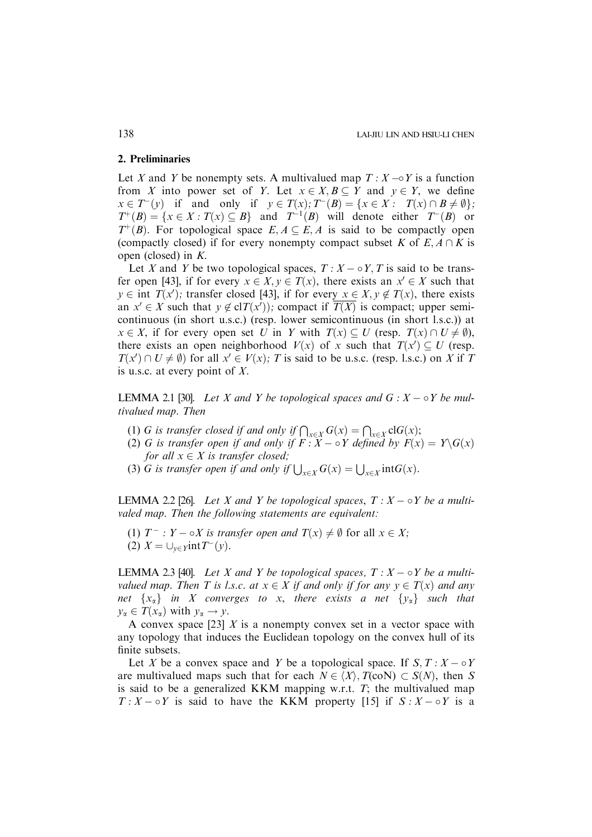# 2. Preliminaries

Let X and Y be nonempty sets. A multivalued map  $T : X \rightarrow Y$  is a function from X into power set of Y. Let  $x \in X, B \subseteq Y$  and  $y \in Y$ , we define  $x \in T^-(y)$  if and only if  $y \in T(x); T^-(B) = \{x \in X : T(x) \cap B \neq \emptyset \};$  $T^+(B) = \{x \in X : T(x) \subseteq B\}$  and  $T^{-1}(B)$  will denote either  $T^-(B)$  or  $T^+(B)$ . For topological space  $E, A \subseteq E, A$  is said to be compactly open (compactly closed) if for every nonempty compact subset K of  $E, A \cap K$  is open (closed) in K.

Let X and Y be two topological spaces,  $T : X - \circ Y, T$  is said to be transfer open [43], if for every  $x \in X$ ,  $y \in T(x)$ , there exists an  $x' \in X$  such that  $y \in \text{int } T(x')$ ; transfer closed [43], if for every  $x \in X, y \notin T(x)$ , there exists an  $x' \in X$  such that  $y \notin \text{cl}(T(x'))$ ; compact if  $\overline{T(X)}$  is compact; upper semicontinuous (in short u.s.c.) (resp. lower semicontinuous (in short l.s.c.)) at  $x \in X$ , if for every open set U in Y with  $T(x) \subseteq U$  (resp.  $T(x) \cap U \neq \emptyset$ ), there exists an open neighborhood  $V(x)$  of x such that  $T(x') \subseteq U$  (resp.  $T(x') \cap U \neq \emptyset$  for all  $x' \in V(x)$ ; T is said to be u.s.c. (resp. l.s.c.) on X if T is u.s.c. at every point of X.

LEMMA 2.1 [30]. Let X and Y be topological spaces and  $G: X \to Y$  be multivalued map. Then

- (1) G is transfer closed if and only if  $\bigcap_{x\in X} G(x) = \bigcap_{x\in X} clG(x)$ ;
- (2) G is transfer open if and only if  $F: X \to Y$  defined by  $F(x) = Y \setminus G(x)$ for all  $x \in X$  is transfer closed;
- (3) G is transfer open if and only if  $\bigcup_{x \in X} G(x) = \bigcup_{x \in X} \text{int}G(x)$ .

LEMMA 2.2 [26]. Let X and Y be topological spaces,  $T : X - \circ Y$  be a multivaled map. Then the following statements are equivalent:

- (1)  $T^-$  :  $Y \circ X$  is transfer open and  $T(x) \neq \emptyset$  for all  $x \in X$ ;
- (2)  $X = \bigcup_{y \in \mathcal{Y}} \text{int}T(y)$ .

LEMMA 2.3 [40]. Let X and Y be topological spaces,  $T : X - \circ Y$  be a multivalued map. Then T is l.s.c. at  $x \in X$  if and only if for any  $y \in T(x)$  and any net  $\{x_\alpha\}$  in X converges to x, there exists a net  $\{y_\alpha\}$  such that  $y_{\alpha} \in T(x_{\alpha})$  with  $y_{\alpha} \to y$ .

A convex space [23]  $X$  is a nonempty convex set in a vector space with any topology that induces the Euclidean topology on the convex hull of its finite subsets.

Let X be a convex space and Y be a topological space. If  $S, T : X \to Y$ are multivalued maps such that for each  $N \in \langle X \rangle$ ,  $T(\text{coN}) \subset S(N)$ , then S is said to be a generalized KKM mapping w.r.t.  $T$ ; the multivalued map  $T: X \to Y$  is said to have the KKM property [15] if  $S: X \to Y$  is a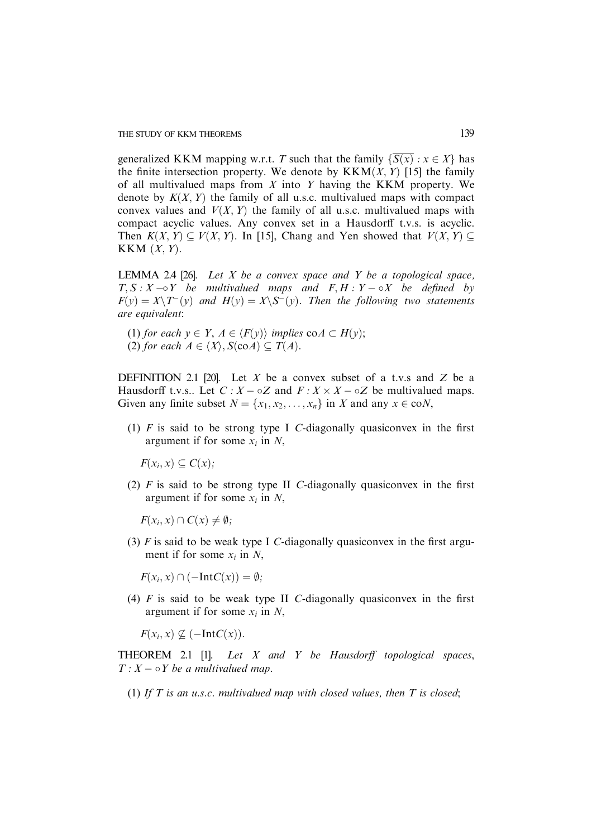generalized KKM mapping w.r.t. T such that the family  $\{\overline{S(x)} : x \in X\}$  has the finite intersection property. We denote by  $KKM(X, Y)$  [15] the family of all multivalued maps from  $X$  into  $Y$  having the KKM property. We denote by  $K(X, Y)$  the family of all u.s.c. multivalued maps with compact convex values and  $V(X, Y)$  the family of all u.s.c. multivalued maps with compact acyclic values. Any convex set in a Hausdorff t.v.s. is acyclic. Then  $K(X, Y) \subseteq V(X, Y)$ . In [15], Chang and Yen showed that  $V(X, Y) \subset$ KKM  $(X, Y)$ .

LEMMA 2.4 [26]. Let  $X$  be a convex space and  $Y$  be a topological space,  $T, S: X \rightarrow Y$  be multivalued maps and  $F, H: Y \rightarrow X$  be defined by  $F(y) = X\setminus T^-(y)$  and  $H(y) = X\setminus S^-(y)$ . Then the following two statements are equivalent:

(1) for each  $y \in Y$ ,  $A \in \langle F(y) \rangle$  implies  $\text{co}A \subset H(y)$ ; (2) for each  $A \in \langle X \rangle$ ,  $S(\text{co} A) \subseteq T(A)$ .

DEFINITION 2.1 [20]. Let X be a convex subset of a t.v.s and Z be a Hausdorff t.v.s.. Let  $C: X - \circ Z$  and  $F: X \times X - \circ Z$  be multivalued maps. Given any finite subset  $N = \{x_1, x_2, \ldots, x_n\}$  in X and any  $x \in \text{co}N$ ,

(1)  $F$  is said to be strong type I C-diagonally quasiconvex in the first argument if for some  $x_i$  in N,

 $F(x_i, x) \subseteq C(x)$ :

(2)  $\hat{F}$  is said to be strong type II C-diagonally quasiconvex in the first argument if for some  $x_i$  in N,

 $F(x_i, x) \cap C(x) \neq \emptyset;$ 

(3)  $F$  is said to be weak type I C-diagonally quasiconvex in the first argument if for some  $x_i$  in N,

 $F(x_i, x) \cap (-IntC(x)) = \emptyset;$ 

(4)  $F$  is said to be weak type II C-diagonally quasiconvex in the first argument if for some  $x_i$  in N,

 $F(x_i, x) \not\subseteq (-IntC(x)).$ 

THEOREM 2.1 [1]. Let  $X$  and  $Y$  be Hausdorff topological spaces,  $T: X \rightarrow Y$  be a multivalued map.

(1) If T is an u.s.c. multivalued map with closed values, then T is closed;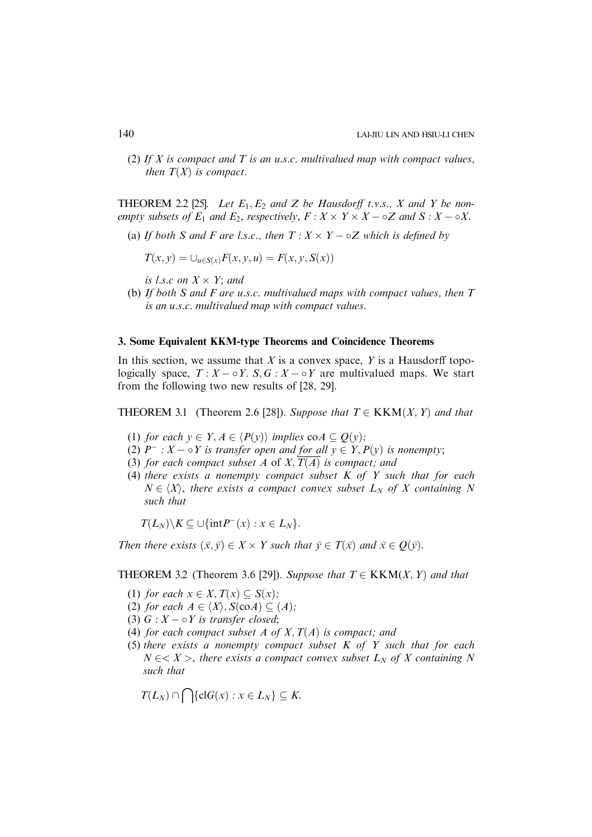(2) If X is compact and T is an u.s.c. multivalued map with compact values, then  $T(X)$  is compact.

**THEOREM** 2.2 [25]. Let  $E_1, E_2$  and Z be Hausdorff t.v.s., X and Y be nonempty subsets of  $E_1$  and  $E_2$ , respectively,  $F: X \times Y \times X - \circ Z$  and  $S: X - \circ X$ .

(a) If both S and F are l.s.c., then  $T: X \times Y - \circ Z$  which is defined by

$$
T(x, y) = \bigcup_{u \in S(x)} F(x, y, u) = F(x, y, S(x))
$$

is l.s.c on  $X \times Y$ ; and

(b) If both S and F are u.s.c. multivalued maps with compact values, then  $T$ is an u.s.c. multivalued map with compact values.

# 3. Some Equivalent KKM-type Theorems and Coincidence Theorems

In this section, we assume that  $X$  is a convex space,  $Y$  is a Hausdorff topologically space,  $T : X - \circ Y$ . S,  $G : X - \circ Y$  are multivalued maps. We start from the following two new results of [28, 29].

**THEOREM 3.1** (Theorem 2.6 [28]). Suppose that  $T \in KKM(X, Y)$  and that

- (1) for each  $y \in Y, A \in \langle P(y) \rangle$  implies  $\text{co } A \subseteq Q(y)$ ;
- (2)  $P^- : X \circ Y$  is transfer open and for all  $y \in Y, P(y)$  is nonempty;
- (3) for each compact subset  $A$  of  $X, T(A)$  is compact; and
- (4) there exists a nonempty compact subset  $K$  of  $Y$  such that for each  $N \in \langle X \rangle$ , there exists a compact convex subset  $L_N$  of X containing N such that

 $T(L_N)\backslash K \subseteq \cup \{\text{int}P^{-}(x): x \in L_N\}.$ 

Then there exists  $(\bar{x}, \bar{y}) \in X \times Y$  such that  $\bar{y} \in T(\bar{x})$  and  $\bar{x} \in Q(\bar{y})$ .

# **THEOREM 3.2** (Theorem 3.6 [29]). Suppose that  $T \in KKM(X, Y)$  and that

- (1) for each  $x \in X$ ,  $T(x) \subset S(x)$ ;
- (2) for each  $A \in \langle X \rangle$ ,  $S(\text{co}A) \subseteq (A);$
- (3)  $G: X \rightarrow Y$  is transfer closed;
- (4) for each compact subset A of X,  $T(A)$  is compact; and
- (5) there exists a nonempty compact subset  $K$  of  $Y$  such that for each  $N \in < X >$ , there exists a compact convex subset  $L_N$  of X containing N such that

$$
T(L_N) \cap \bigcap \{ \mathrm{cl} G(x) : x \in L_N \} \subseteq K.
$$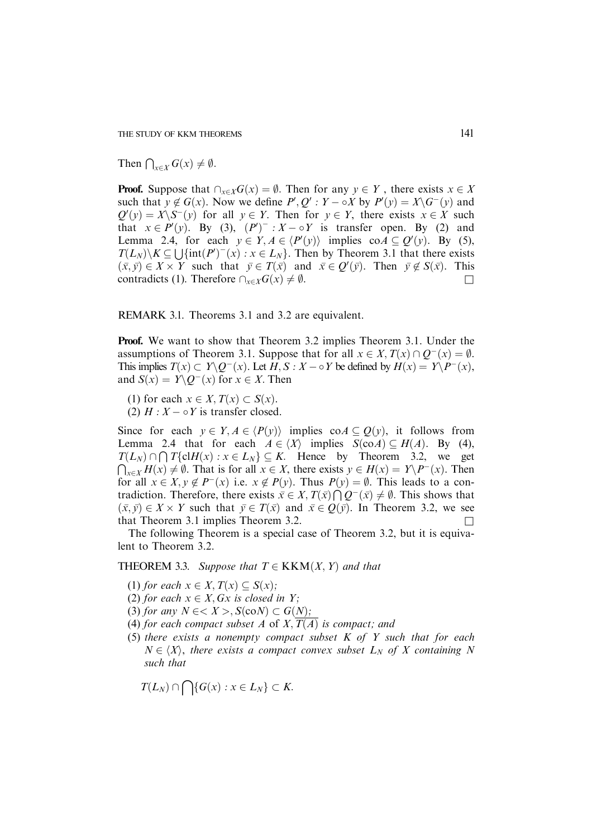THE STUDY OF KKM THEOREMS 141

Then  $\bigcap_{x\in X} G(x) \neq \emptyset$ .

**Proof.** Suppose that  $\bigcap_{x \in X} G(x) = \emptyset$ . Then for any  $y \in Y$ , there exists  $x \in X$ such that  $y \notin G(x)$ . Now we define  $P', Q' : Y - \circ X$  by  $P'(y) = X \circ G^{-}(y)$  and  $Q'(y) = X\setminus S^{-1}(y)$  for all  $y \in Y$ . Then for  $y \in Y$ , there exists  $x \in X$  such that  $x \in P'(y)$ . By (3),  $(P')^{-}: X - \circ Y$  is transfer open. By (2) and Lemma 2.4, for each  $y \in Y, A \in \langle P'(y) \rangle$  implies  $\text{co } A \subseteq Q'(y)$ . By (5),  $T(L_N)\setminus K \subseteq \bigcup{\{\text{int}(P')^-(x): x \in L_N\}}$ . Then by Theorem 3.1 that there exists  $(\bar{x}, \bar{y}) \in X \times Y$  such that  $\bar{y} \in T(\bar{x})$  and  $\bar{x} \in Q'(\bar{y})$ . Then  $\bar{y} \notin S(\bar{x})$ . This contradicts (1). Therefore  $\bigcap_{x \in X} G(x) \neq \emptyset$ .

REMARK 3.1. Theorems 3.1 and 3.2 are equivalent.

Proof. We want to show that Theorem 3.2 implies Theorem 3.1. Under the assumptions of Theorem 3.1. Suppose that for all  $x \in X$ ,  $T(x) \cap Q^{-1}(x) = \emptyset$ . This implies  $T(x) \subset Y \backslash Q^-(x)$ . Let  $H, S : X \sim Y$  be defined by  $H(x) = Y \backslash P^-(x)$ , and  $S(x) = Y \ Q^{-1}(x)$  for  $x \in X$ . Then

(1) for each  $x \in X$ ,  $T(x) \subset S(x)$ .

(2)  $H: X \rightarrow Y$  is transfer closed.

Since for each  $y \in Y, A \in \langle P(y) \rangle$  implies co $A \subseteq Q(y)$ , it follows from Lemma 2.4 that for each  $A \in \langle X \rangle$  implies  $S(\text{co} A) \subseteq H(A)$ . By (4),  $T(L_N) \cap \bigcap T\{\text{cl}H(x) : x \in L_N\} \subseteq K$ . Hence by Theorem 3.2, we get  $\bigcap_{x \in X} H(x) \neq \emptyset$ . That is for all  $x \in X$ , there exists  $y \in H(x) = Y \setminus P^{-}(x)$ . Then for all  $x \in X, y \notin P^-(x)$  i.e.  $x \notin P(y)$ . Thus  $P(y) = \emptyset$ . This leads to a contradiction. Therefore, there exists  $\bar{x} \in X$ ,  $T(\bar{x}) \cap Q^{-}(\bar{x}) \neq \emptyset$ . This shows that  $(\bar{x}, \bar{y}) \in X \times Y$  such that  $\bar{y} \in T(\bar{x})$  and  $\bar{x} \in Q(\bar{y})$ . In Theorem 3.2, we see that Theorem 3.1 implies Theorem 3.2. (

The following Theorem is a special case of Theorem 3.2, but it is equivalent to Theorem 3.2.

THEOREM 3.3. Suppose that  $T \in KKM(X, Y)$  and that

- (1) for each  $x \in X$ ,  $T(x) \subset S(x)$ ;
- (2) for each  $x \in X$ , Gx is closed in Y;
- (3) for any  $N \in \langle X \rangle$ ,  $S(\text{co}N) \subset G(N)$ ;
- (4) for each compact subset A of  $X, T(A)$  is compact; and
- (5) there exists a nonempty compact subset  $K$  of  $Y$  such that for each  $N \in \langle X \rangle$ , there exists a compact convex subset  $L_N$  of X containing N such that

$$
T(L_N) \cap \bigcap \{G(x) : x \in L_N\} \subset K.
$$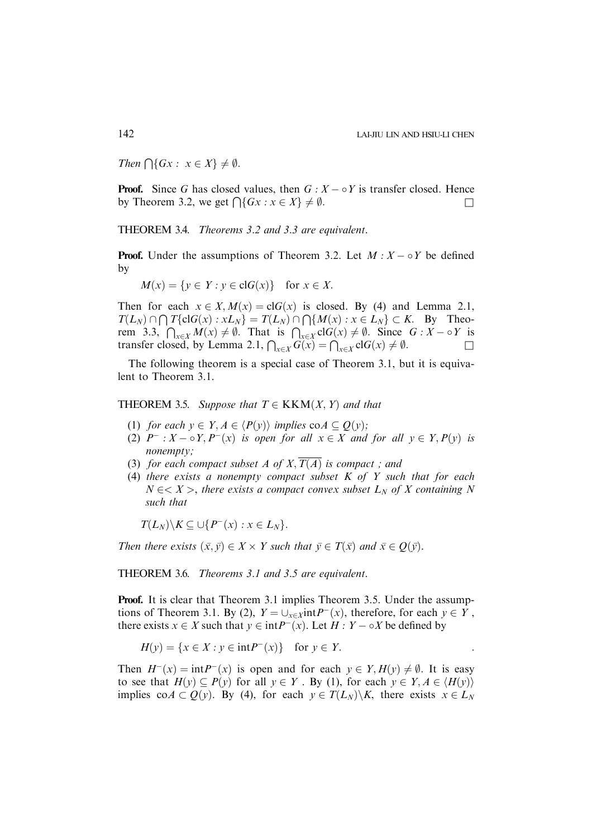Then  $\bigcap \{Gx : x \in X\} \neq \emptyset$ .

**Proof.** Since G has closed values, then  $G : X - \circ Y$  is transfer closed. Hence by Theorem 3.2, we get  $\bigcap \{Gx : x \in X\} \neq \emptyset$ .

THEOREM 3.4. Theorems 3.2 and 3.3 are equivalent.

**Proof.** Under the assumptions of Theorem 3.2. Let  $M : X \to Y$  be defined by

 $M(x) = \{y \in Y : y \in \text{cl}G(x)\}$  for  $x \in X$ .

Then for each  $x \in X$ ,  $M(x) = clG(x)$  is closed. By (4) and Lemma 2.1,  $T(L_N) \cap \bigcap T\{\text{cl}G(x) : xL_N\} = T(L_N) \cap \bigcap \{M(x) : x \in L_N\} \subset K.$  By Theorem 3.3,  $\bigcap_{x\in X} M(x) \neq \emptyset$ . That is  $\bigcap_{x\in X}$  clG $(x) \neq \emptyset$ . Since  $G : X - \circ Y$  is transfer closed, by Lemma 2.1,  $\bigcap_{x \in X} G(x) = \bigcap_{x \in X} cG(x) \neq \emptyset$ .

The following theorem is a special case of Theorem 3.1, but it is equivalent to Theorem 3.1.

**THEOREM 3.5.** Suppose that  $T \in KKM(X, Y)$  and that

- (1) for each  $y \in Y, A \in \langle P(y) \rangle$  implies  $\text{co}A \subseteq Q(y)$ ;
- (2)  $P^-: X \circ Y, P^-(x)$  is open for all  $x \in X$  and for all  $y \in Y, P(y)$  is nonempty;
- (3) for each compact subset A of X,  $\overline{T(A)}$  is compact; and
- (4) there exists a nonempty compact subset  $K$  of  $Y$  such that for each  $N \in < X >$ , there exists a compact convex subset  $L_N$  of X containing N such that

 $T(L_N)\backslash K \subseteq \bigcup\{P^-(x):x\in L_N\}.$ 

Then there exists  $(\bar{x}, \bar{y}) \in X \times Y$  such that  $\bar{y} \in T(\bar{x})$  and  $\bar{x} \in Q(\bar{y})$ .

THEOREM 3.6. Theorems 3.1 and 3.5 are equivalent.

Proof. It is clear that Theorem 3.1 implies Theorem 3.5. Under the assumptions of Theorem 3.1. By (2),  $Y = \bigcup_{x \in \mathcal{X}} \text{int}P^{-}(x)$ , therefore, for each  $y \in Y$ , there exists  $x \in X$  such that  $y \in \text{int}P^{-}(x)$ . Let  $H : Y - \circ X$  be defined by

$$
H(y) = \{x \in X : y \in \text{int}P^-(x)\} \quad \text{for } y \in Y.
$$

Then  $H^{-}(x) = \int_0^x f(x) dx$  is open and for each  $y \in Y$ ;  $H(y) \neq \emptyset$ . It is easy to see that  $H(y) \subseteq P(y)$  for all  $y \in Y$ . By (1), for each  $y \in Y, A \in \langle H(y) \rangle$ implies co $A \subset Q(y)$ . By (4), for each  $y \in T(L_N)\backslash K$ , there exists  $x \in L_N$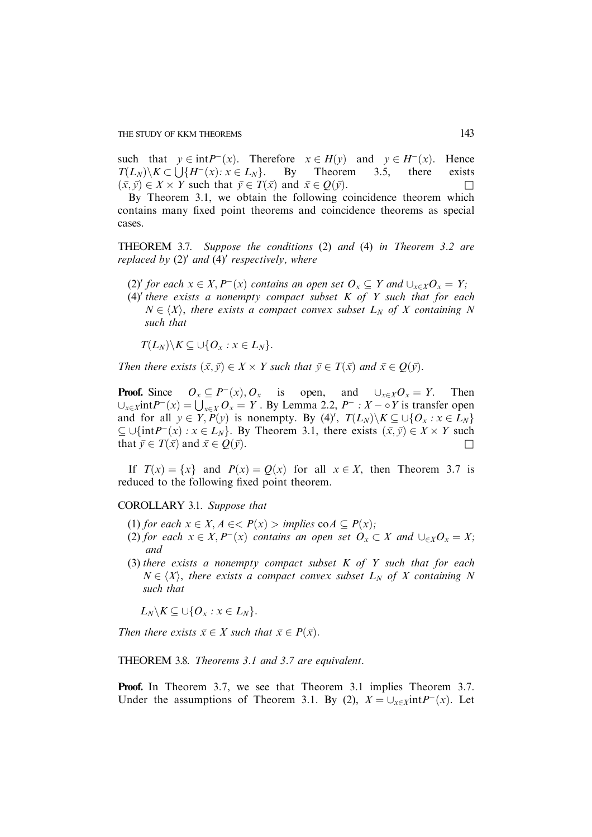THE STUDY OF KKM THEOREMS 143

such that  $y \in \text{int}P^-(x)$ . Therefore  $x \in H(y)$  and  $y \in H^-(x)$ . Hence  $T(L_N)\ K\subset \text{H}(H^-(x): x\in L_N\text{}.$  By Theorem 3.5, there exists  $(\bar{x}, \bar{y}) \in X \times Y$  such that  $\bar{y} \in T(\bar{x})$  and  $\bar{x} \in Q(\bar{y})$ .

By Theorem 3.1, we obtain the following coincidence theorem which contains many fixed point theorems and coincidence theorems as special cases.

THEOREM 3.7. Suppose the conditions (2) and (4) in Theorem 3.2 are replaced by  $(2)'$  and  $(4)'$  respectively, where

(2)' for each  $x \in X, P^{-}(x)$  contains an open set  $O_x \subseteq Y$  and  $\bigcup_{x \in X} O_x = Y;$ 

(4)' there exists a nonempty compact subset  $K$  of  $Y$  such that for each  $N \in \langle X \rangle$ , there exists a compact convex subset  $L_N$  of X containing N such that

 $T(L_N)\backslash K \subseteq \cup\{O_x : x \in L_N\}.$ 

Then there exists  $(\bar{x}, \bar{y}) \in X \times Y$  such that  $\bar{y} \in T(\bar{x})$  and  $\bar{x} \in Q(\bar{y})$ .

**Proof.** Since  $O_x \subseteq P^-(x)$ ,  $O_x$  is open, and  $\bigcup_{x \in X} O_x = Y$ . Then  $\bigcup_{x \in X} \text{int}P^{-}(x) = \bigcup_{x \in X} O_x = Y$ . By Lemma 2.2,  $P^{-} : X - \circ Y$  is transfer open and for all  $y \in Y, P(y)$  is nonempty. By (4)',  $T(L_N) \setminus K \subseteq \bigcup \{O_x : x \in L_N\}$  $\subseteq \bigcup \{ \text{int}P^{-}(x) : x \in L_N \}$ . By Theorem 3.1, there exists  $(\bar{x}, \bar{y}) \in X \times Y$  such that  $\bar{y} \in T(\bar{x})$  and  $\bar{x} \in Q(\bar{y})$ .

If  $T(x) = \{x\}$  and  $P(x) = Q(x)$  for all  $x \in X$ , then Theorem 3.7 is reduced to the following fixed point theorem.

COROLLARY 3.1. Suppose that

- (1) for each  $x \in X, A \in \langle P(x) \rangle$  implies  $\text{co } A \subseteq P(x)$ ;
- (2) for each  $x \in X, P^{-}(x)$  contains an open set  $O_x \subset X$  and  $\bigcup_{\in X} O_x = X;$ and
- (3) there exists a nonempty compact subset  $K$  of  $Y$  such that for each  $N \in \langle X \rangle$ , there exists a compact convex subset  $L_N$  of X containing N such that

 $L_N \backslash K \subseteq \cup \{O_x : x \in L_N\}.$ 

Then there exists  $\bar{x} \in X$  such that  $\bar{x} \in P(\bar{x})$ .

THEOREM 3.8. Theorems 3.1 and 3.7 are equivalent.

Proof. In Theorem 3.7, we see that Theorem 3.1 implies Theorem 3.7. Under the assumptions of Theorem 3.1. By (2),  $X = \bigcup_{x \in X} \text{int}P^{-}(x)$ . Let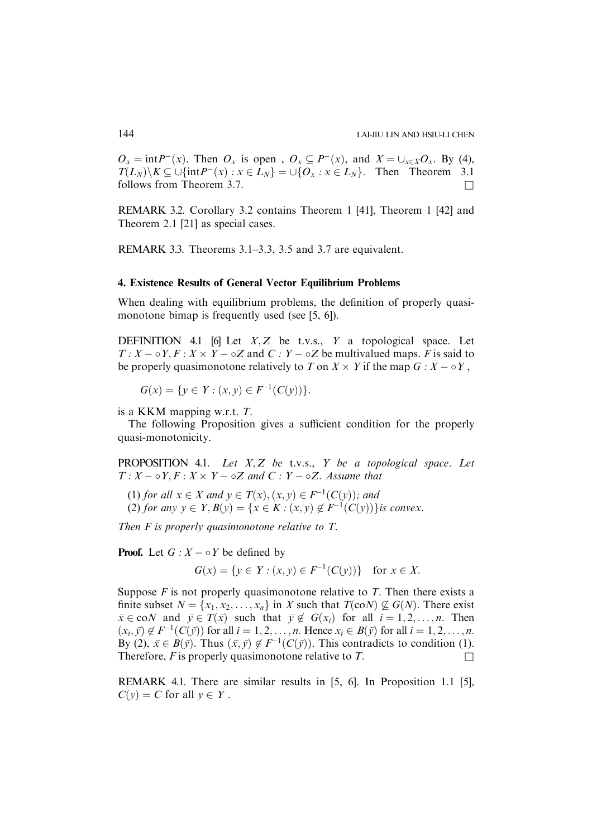$O_x = \text{int}P^-(x)$ . Then  $O_x$  is open,  $O_x \subseteq P^-(x)$ , and  $X = \bigcup_{x \in X} O_x$ . By (4),  $T(L_N)\backslash K \subseteq \bigcup \{\text{int}P^-(x): x\in L_N\} = \bigcup \{O_x : x\in L_N\}.$  Then Theorem 3.1 follows from Theorem 3.7.  $\Box$ 

REMARK 3.2. Corollary 3.2 contains Theorem 1 [41], Theorem 1 [42] and Theorem 2.1 [21] as special cases.

REMARK 3.3. Theorems 3.1–3.3, 3.5 and 3.7 are equivalent.

# 4. Existence Results of General Vector Equilibrium Problems

When dealing with equilibrium problems, the definition of properly quasimonotone bimap is frequently used (see [5, 6]).

DEFINITION 4.1 [6] Let  $X, Z$  be t.v.s.,  $Y$  a topological space. Let  $T: X \to Y, F: X \times Y \to \infty Z$  and  $C: Y \to \infty Z$  be multivalued maps. F is said to be properly quasimonotone relatively to T on  $X \times Y$  if the map  $G : X - \circ Y$ ,

 $G(x) = \{y \in Y : (x, y) \in F^{-1}(C(y))\}.$ 

is a KKM mapping w.r.t.  $T$ .

The following Proposition gives a sufficient condition for the properly quasi-monotonicity.

PROPOSITION 4.1. Let  $X, Z$  be t.v.s.,  $Y$  be a topological space. Let  $T: X \to Y, F: X \times Y \to \circ Z$  and  $C: Y \to \circ Z$ . Assume that

(1) for all  $x \in X$  and  $y \in T(x), (x, y) \in F^{-1}(C(y));$  and

(2) for any  $y \in Y$ ,  $B(y) = \{x \in K : (x, y) \notin F^{-1}(C(y))\}$  is convex.

Then  $F$  is properly quasimonotone relative to  $T$ .

**Proof.** Let  $G: X \to Y$  be defined by

$$
G(x) = \{ y \in Y : (x, y) \in F^{-1}(C(y)) \} \text{ for } x \in X.
$$

Suppose  $F$  is not properly quasimonotone relative to  $T$ . Then there exists a finite subset  $N = \{x_1, x_2, \ldots, x_n\}$  in X such that  $T(\text{co}N) \not\subseteq G(N)$ . There exist  $\bar{x} \in \text{co}N$  and  $\bar{y} \in T(\bar{x})$  such that  $\bar{y} \notin G(x_i)$  for all  $i = 1, 2, ..., n$ . Then  $(x_i, \bar{y}) \notin F^{-1}(C(\bar{y}))$  for all  $i = 1, 2, ..., n$ . Hence  $x_i \in B(\bar{y})$  for all  $i = 1, 2, ..., n$ . By (2),  $\bar{x} \in B(\bar{y})$ . Thus  $(\bar{x}, \bar{y}) \notin F^{-1}(C(\bar{y}))$ . This contradicts to condition (1). Therefore, F is properly quasimonotone relative to T.

REMARK 4.1. There are similar results in [5, 6]. In Proposition 1.1 [5],  $C(v) = C$  for all  $v \in Y$ .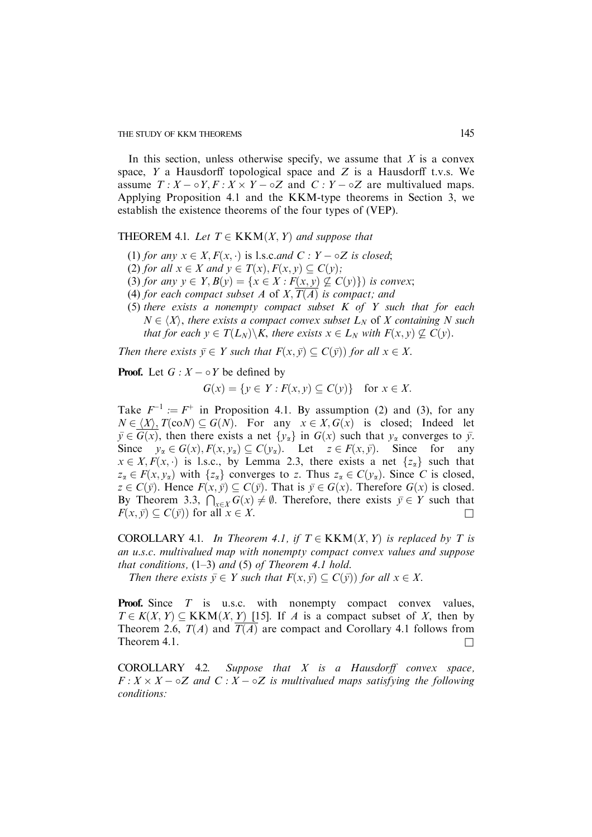In this section, unless otherwise specify, we assume that  $X$  is a convex space,  $Y$  a Hausdorff topological space and  $Z$  is a Hausdorff t.v.s. We assume  $T: X \to \circ Y, F: X \times Y \to \circ Z$  and  $C: Y \to \circ Z$  are multivalued maps. Applying Proposition 4.1 and the KKM-type theorems in Section 3, we establish the existence theorems of the four types of (VEP).

THEOREM 4.1. Let  $T \in KKM(X, Y)$  and suppose that

- (1) for any  $x \in X$ ,  $F(x, \cdot)$  is l.s.c.and  $C : Y \circ Z$  is closed;
- (2) for all  $x \in X$  and  $y \in T(x), F(x, y) \subseteq C(y)$ ;
- (3) for any  $y \in Y$ ,  $B(y) = \{x \in X : F(x, y) \not\subseteq C(y)\}\)$  is convex;
- (4) for each compact subset A of X,  $\overline{T(A)}$  is compact; and
- (5) there exists a nonempty compact subset  $K$  of  $Y$  such that for each  $N \in \langle X \rangle$ , there exists a compact convex subset  $L_N$  of X containing N such that for each  $y \in T(L_N) \backslash K$ , there exists  $x \in L_N$  with  $F(x, y) \nsubseteq C(y)$ .

Then there exists  $\bar{y} \in Y$  such that  $F(x, \bar{y}) \subseteq C(\bar{y})$  for all  $x \in X$ .

**Proof.** Let  $G: X \to Y$  be defined by

$$
G(x) = \{ y \in Y : F(x, y) \subseteq C(y) \} \text{ for } x \in X.
$$

Take  $F^{-1} := F^+$  in Proposition 4.1. By assumption (2) and (3), for any  $N \in \langle X \rangle$ ,  $T(\text{co}N) \subseteq G(N)$ . For any  $x \in X$ ,  $G(x)$  is closed; Indeed let  $\bar{y} \in \overline{G(x)}$ , then there exists a net  $\{y_\alpha\}$  in  $G(x)$  such that  $y_\alpha$  converges to  $\bar{y}$ . Since  $y_{\alpha} \in G(x), F(x, y_{\alpha}) \subseteq C(y_{\alpha})$ . Let  $z \in F(x, \bar{y})$ . Since for any  $x \in X, F(x, \cdot)$  is l.s.c., by Lemma 2.3, there exists a net  $\{z_{\alpha}\}\$  such that  $z_{\alpha} \in F(x, y_{\alpha})$  with  $\{z_{\alpha}\}\$  converges to z. Thus  $z_{\alpha} \in C(y_{\alpha})$ . Since C is closed,  $z \in C(\bar{y})$ . Hence  $F(x, \bar{y}) \subseteq C(\bar{y})$ . That is  $\bar{y} \in G(x)$ . Therefore  $G(x)$  is closed. By Theorem 3.3,  $\bigcap_{x \in X} G(x) \neq \emptyset$ . Therefore, there exists  $\overline{y} \in Y$  such that  $F(x, \bar{y}) \subseteq C(\bar{y})$  for all  $x \in X$ .

COROLLARY 4.1. In Theorem 4.1, if  $T \in KKM(X, Y)$  is replaced by T is an u.s.c. multivalued map with nonempty compact convex values and suppose that conditions,  $(1-3)$  and  $(5)$  of Theorem 4.1 hold.

Then there exists  $\bar{y} \in Y$  such that  $F(x, \bar{y}) \subseteq C(\bar{y})$  for all  $x \in X$ .

**Proof.** Since  $T$  is u.s.c. with nonempty compact convex values,  $T \in K(X, Y) \subseteq KKM(X, Y)$  [15]. If A is a compact subset of X, then by Theorem 2.6,  $T(A)$  and  $\overline{T(A)}$  are compact and Corollary 4.1 follows from Theorem 4.1.  $\Box$ 

 $COROLLARY$  4.2. Suppose that  $X$  is a Hausdorff convex space,  $F: X \times X - \circ Z$  and  $C: X - \circ Z$  is multivalued maps satisfying the following conditions: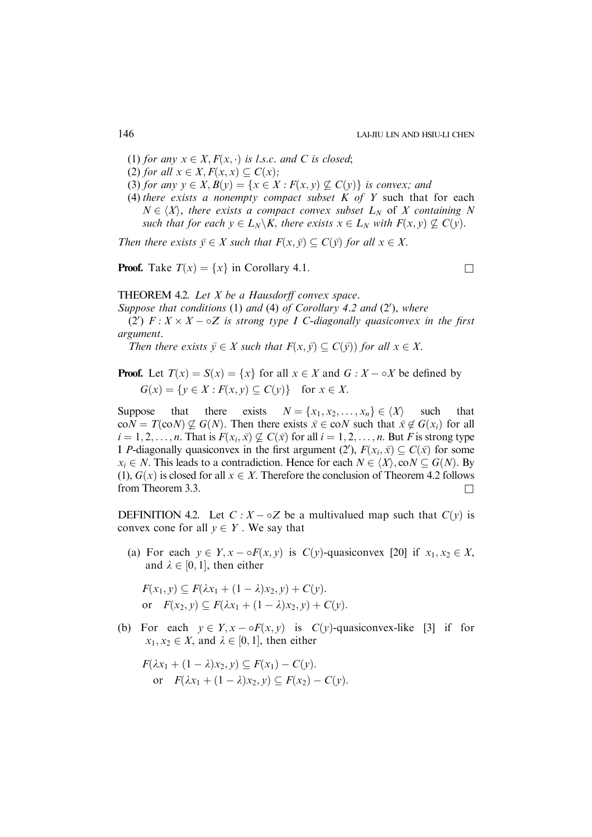- (1) for any  $x \in X$ ,  $F(x, \cdot)$  is l.s.c. and C is closed;
- (2) for all  $x \in X, F(x, x) \subset C(x)$ ;
- (3) for any  $y \in X$ ,  $B(y) = \{x \in X : F(x, y) \not\subseteq C(y)\}$  is convex; and
- (4) there exists a nonempty compact subset  $K$  of  $Y$  such that for each  $N \in \langle X \rangle$ , there exists a compact convex subset  $L_N$  of X containing N such that for each  $y \in L_N \backslash K$ , there exists  $x \in L_N$  with  $F(x, y) \nsubseteq C(y)$ .

Then there exists  $\bar{y} \in X$  such that  $F(x, \bar{y}) \subseteq C(\bar{y})$  for all  $x \in X$ .

**Proof.** Take  $T(x) = \{x\}$  in Corollary 4.1.

THEOREM 4.2. Let X be a Hausdorff convex space.

Suppose that conditions  $(1)$  and  $(4)$  of Corollary 4.2 and  $(2')$ , where (2')  $F: X \times X - \circ Z$  is strong type I C-diagonally quasiconvex in the first argument.

Then there exists  $\bar{y} \in X$  such that  $F(x, \bar{y}) \subseteq C(\bar{y})$  for all  $x \in X$ .

**Proof.** Let  $T(x) = S(x) = \{x\}$  for all  $x \in X$  and  $G : X - \circ X$  be defined by  $G(x) = \{y \in X : F(x, y) \subseteq C(y)\}$  for  $x \in X$ .

Suppose that there exists  $N = \{x_1, x_2, \dots, x_n\} \in \langle X \rangle$  such that  $\text{co}N = T(\text{co}N) \nsubseteq G(N)$ . Then there exists  $\bar{x} \in \text{co}N$  such that  $\bar{x} \notin G(x_i)$  for all  $i = 1, 2, \ldots, n$ . That is  $F(x_i, \bar{x}) \not\subseteq C(\bar{x})$  for all  $i = 1, 2, \ldots, n$ . But F is strong type I P-diagonally quasiconvex in the first argument (2'),  $F(x_i, \bar{x}) \subseteq C(\bar{x})$  for some  $x_i \in N$ . This leads to a contradiction. Hence for each  $N \in \langle X \rangle$ , co $N \subset G(N)$ . By (1),  $G(x)$  is closed for all  $x \in X$ . Therefore the conclusion of Theorem 4.2 follows from Theorem 3.3.

**DEFINITION** 4.2. Let  $C: X - \circ Z$  be a multivalued map such that  $C(y)$  is convex cone for all  $y \in Y$ . We say that

(a) For each  $y \in Y$ ,  $x - \sigma F(x, y)$  is  $C(y)$ -quasiconvex [20] if  $x_1, x_2 \in X$ , and  $\lambda \in [0, 1]$ , then either

 $F(x_1, y) \subseteq F(\lambda x_1 + (1 - \lambda)x_2, y) + C(y).$ or  $F(x_2, y) \subseteq F(\lambda x_1 + (1 - \lambda)x_2, y) + C(y)$ .

(b) For each  $y \in Y$ ,  $x - \sigma F(x, y)$  is  $C(y)$ -quasiconvex-like [3] if for  $x_1, x_2 \in X$ , and  $\lambda \in [0, 1]$ , then either

$$
F(\lambda x_1 + (1 - \lambda)x_2, y) \subseteq F(x_1) - C(y).
$$
  
or 
$$
F(\lambda x_1 + (1 - \lambda)x_2, y) \subseteq F(x_2) - C(y).
$$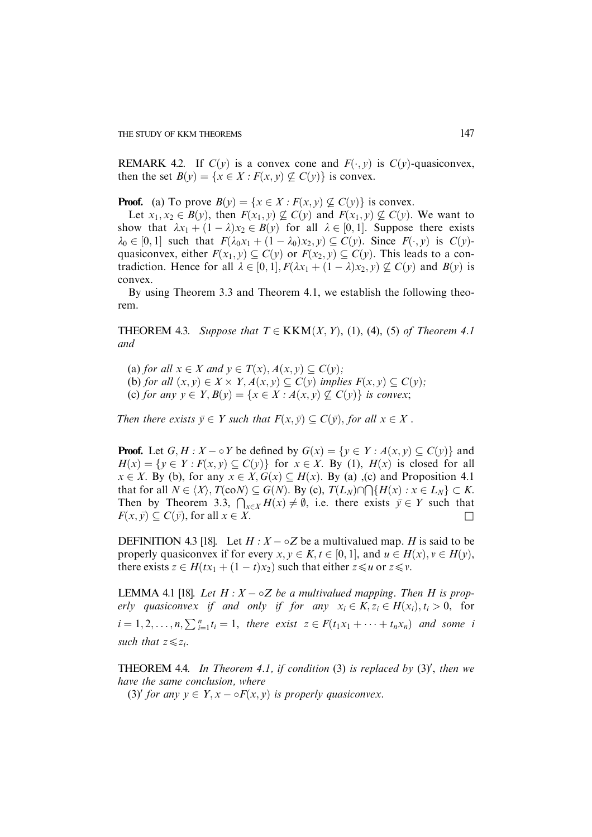REMARK 4.2. If  $C(y)$  is a convex cone and  $F(\cdot, y)$  is  $C(y)$ -quasiconvex, then the set  $B(y) = \{x \in X : F(x, y) \not\subseteq C(y)\}$  is convex.

**Proof.** (a) To prove  $B(y) = \{x \in X : F(x, y) \not\subseteq C(y)\}\$ is convex.

Let  $x_1, x_2 \in B(y)$ , then  $F(x_1, y) \nsubseteq C(y)$  and  $F(x_1, y) \nsubseteq C(y)$ . We want to show that  $\lambda x_1 + (1 - \lambda)x_2 \in B(y)$  for all  $\lambda \in [0, 1]$ . Suppose there exists  $\lambda_0 \in [0, 1]$  such that  $F(\lambda_0 x_1 + (1 - \lambda_0)x_2, y) \subseteq C(y)$ . Since  $F(\cdot, y)$  is  $C(y)$ quasiconvex, either  $F(x_1, y) \subseteq C(y)$  or  $F(x_2, y) \subseteq C(y)$ . This leads to a contradiction. Hence for all  $\lambda \in [0, 1], F(\lambda x_1 + (1 - \lambda)x_2, y) \not\subseteq C(y)$  and  $B(y)$  is convex.

By using Theorem 3.3 and Theorem 4.1, we establish the following theorem.

**THEOREM 4.3.** Suppose that  $T \in KKM(X, Y)$ , (1), (4), (5) of Theorem 4.1 and

(a) for all  $x \in X$  and  $y \in T(x)$ ,  $A(x, y) \subseteq C(y)$ ; (b) for all  $(x, y) \in X \times Y$ ,  $A(x, y) \subseteq C(y)$  implies  $F(x, y) \subseteq C(y)$ ; (c) for any  $y \in Y$ ,  $B(y) = \{x \in X : A(x, y) \not\subseteq C(y)\}\$ is convex;

Then there exists  $\bar{v} \in Y$  such that  $F(x, \bar{v}) \subset C(\bar{v})$ , for all  $x \in X$ .

**Proof.** Let  $G, H : X - \circ Y$  be defined by  $G(x) = \{y \in Y : A(x, y) \subseteq C(y)\}\$ and  $H(x) = \{y \in Y : F(x, y) \subset C(y)\}\$ for  $x \in X$ . By (1),  $H(x)$  is closed for all  $x \in X$ . By (b), for any  $x \in X$ ,  $G(x) \subseteq H(x)$ . By (a), (c) and Proposition 4.1 that for all  $N \in \langle X \rangle$ ,  $T(\text{co}N) \subseteq G(N)$ . By (c),  $T(L_N) \cap \bigcap \{H(x) : x \in L_N\} \subset K$ . Then by Theorem 3.3,  $\bigcap_{x \in X} H(x) \neq \emptyset$ , i.e. there exists  $\overline{y} \in Y$  such that  $F(x, \bar{y}) \subset C(\bar{y})$ , for all  $x \in X$ .

DEFINITION 4.3 [18]. Let  $H : X - \circ Z$  be a multivalued map. H is said to be properly quasiconvex if for every  $x, y \in K, t \in [0, 1]$ , and  $u \in H(x), y \in H(y)$ , there exists  $z \in H(tx_1 + (1 - t)x_2)$  such that either  $z \le u$  or  $z \le v$ .

LEMMA 4.1 [18]. Let  $H: X - \circ Z$  be a multivalued mapping. Then H is properly quasiconvex if and only if for any  $x_i \in K$ ,  $z_i \in H(x_i)$ ,  $t_i > 0$ , for  $i = 1, 2, \ldots, n, \sum_{i=1}^{n} t_i = 1$ , there exist  $z \in F(t_1x_1 + \cdots + t_nx_n)$  and some i such that  $z \leq z_i$ .

**THEOREM 4.4.** In Theorem 4.1, if condition  $(3)$  is replaced by  $(3)'$ , then we have the same conclusion, where

(3)' for any  $y \in Y$ ,  $x - \sigma F(x, y)$  is properly quasiconvex.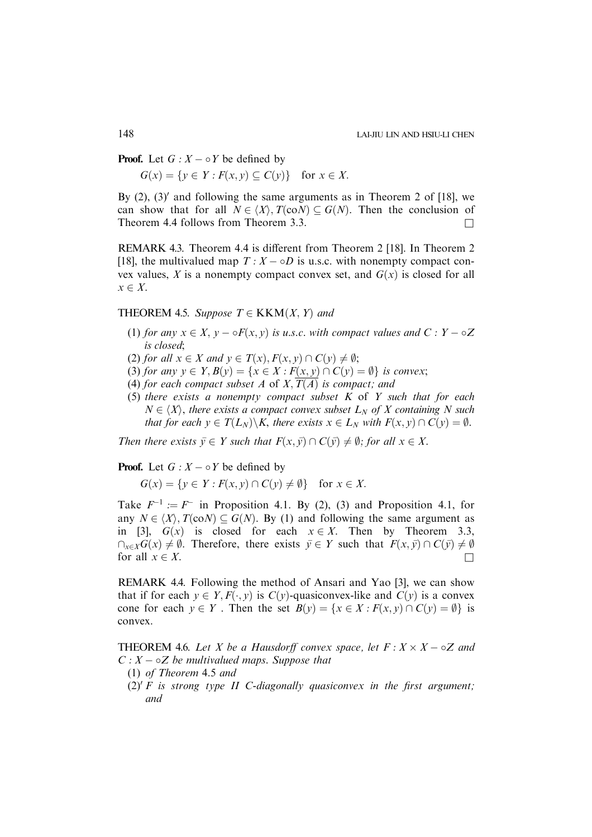**Proof.** Let  $G: X \to Y$  be defined by

 $G(x) = \{y \in Y : F(x, y) \subseteq C(y)\}$  for  $x \in X$ .

By  $(2)$ ,  $(3)'$  and following the same arguments as in Theorem 2 of [18], we can show that for all  $N \in \langle X \rangle$ ,  $T(\text{co}N) \subseteq G(N)$ . Then the conclusion of Theorem 4.4 follows from Theorem 3.3.

REMARK 4.3. Theorem 4.4 is different from Theorem 2 [18]. In Theorem 2 [18], the multivalued map  $T : X - \circ D$  is u.s.c. with nonempty compact convex values, X is a nonempty compact convex set, and  $G(x)$  is closed for all  $x \in X$ .

# THEOREM 4.5. Suppose  $T \in KKM(X, Y)$  and

- (1) for any  $x \in X$ ,  $y \circ F(x, y)$  is u.s.c. with compact values and  $C : Y \circ Z$ is closed;
- (2) for all  $x \in X$  and  $y \in T(x)$ ,  $F(x, y) \cap C(y) \neq \emptyset$ ;
- (3) for any  $y \in Y$ ,  $B(y) = \{x \in X : F(x, y) \cap C(y) = \emptyset\}$  is convex;
- (4) for each compact subset A of  $X,\overline{T(A)}$  is compact; and
- (5) there exists a nonempty compact subset  $K$  of  $Y$  such that for each  $N \in \langle X \rangle$ , there exists a compact convex subset  $L_N$  of X containing N such that for each  $y \in T(L_N) \backslash K$ , there exists  $x \in L_N$  with  $F(x, y) \cap C(y) = \emptyset$ .

Then there exists  $\bar{v} \in Y$  such that  $F(x, \bar{v}) \cap C(\bar{v}) \neq \emptyset$ ; for all  $x \in X$ .

**Proof.** Let  $G: X \to Y$  be defined by

 $G(x) = \{y \in Y : F(x, y) \cap C(y) \neq \emptyset\}$  for  $x \in X$ .

Take  $F^{-1} := F^-$  in Proposition 4.1. By (2), (3) and Proposition 4.1, for any  $N \in \langle X \rangle$ ,  $T(\text{co}N) \subseteq G(N)$ . By (1) and following the same argument as in [3],  $G(x)$  is closed for each  $x \in X$ . Then by Theorem 3.3,  $\bigcap_{x\in X}G(x)\neq \emptyset$ . Therefore, there exists  $\overline{y}\in Y$  such that  $F(x, \overline{y})\cap C(\overline{y})\neq \emptyset$ for all  $x \in X$ .

REMARK 4.4. Following the method of Ansari and Yao [3], we can show that if for each  $y \in Y, F(\cdot, y)$  is  $C(y)$ -quasiconvex-like and  $C(y)$  is a convex cone for each  $y \in Y$ . Then the set  $B(y) = \{x \in X : F(x, y) \cap C(y) = \emptyset\}$  is convex.

**THEOREM** 4.6. Let X be a Hausdorff convex space, let  $F: X \times X - \circ Z$  and  $C: X - \circ Z$  be multivalued maps. Suppose that

- (1) of Theorem 4.5 and
- (2)' F is strong type II C-diagonally quasiconvex in the first argument; and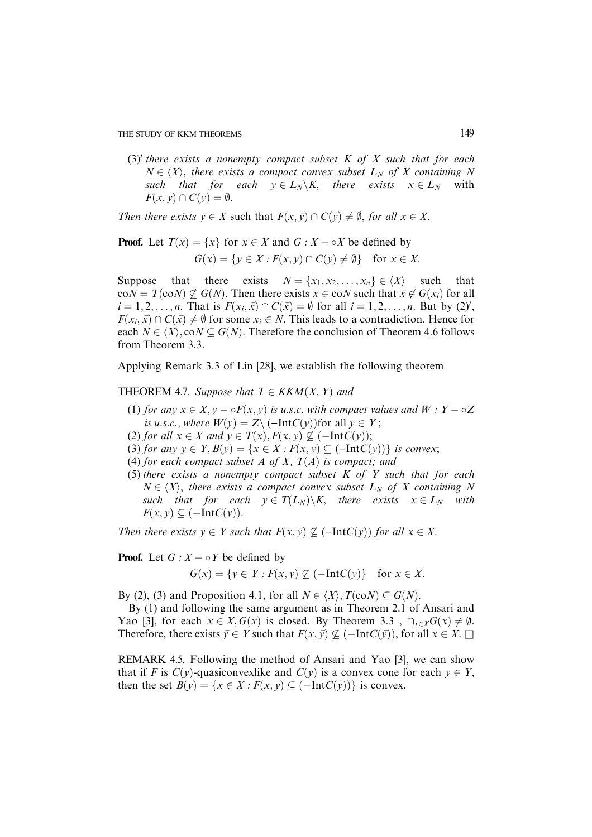(3)' there exists a nonempty compact subset  $K$  of  $X$  such that for each  $N \in \langle X \rangle$ , there exists a compact convex subset  $L_N$  of X containing N such that for each  $y \in L_N \backslash K$ , there exists  $x \in L_N$  with  $F(x, y) \cap C(y) = \emptyset.$ 

Then there exists  $\bar{y} \in X$  such that  $F(x, \bar{y}) \cap C(\bar{y}) \neq \emptyset$ , for all  $x \in X$ .

**Proof.** Let 
$$
T(x) = \{x\}
$$
 for  $x \in X$  and  $G : X - \circ X$  be defined by  

$$
G(x) = \{y \in X : F(x, y) \cap C(y) \neq \emptyset\} \text{ for } x \in X.
$$

Suppose that there exists  $N = \{x_1, x_2, \dots, x_n\} \in \langle X \rangle$  such that  $\text{co}N = T(\text{co}N) \nsubseteq G(N)$ . Then there exists  $\bar{x} \in \text{co}N$  such that  $\bar{x} \notin G(x_i)$  for all  $i = 1, 2, ..., n$ . That is  $F(x_i, \bar{x}) \cap C(\bar{x}) = \emptyset$  for all  $i = 1, 2, ..., n$ . But by (2)',  $F(x_i, \bar{x}) \cap C(\bar{x}) \neq \emptyset$  for some  $x_i \in N$ . This leads to a contradiction. Hence for each  $N \in \langle X \rangle$ , co $N \subseteq G(N)$ . Therefore the conclusion of Theorem 4.6 follows from Theorem 3.3.

Applying Remark 3.3 of Lin [28], we establish the following theorem

# **THEOREM 4.7.** Suppose that  $T \in KKM(X, Y)$  and

- (1) for any  $x \in X$ ,  $y \circ F(x, y)$  is u.s.c. with compact values and  $W : Y \circ Z$ is u.s.c., where  $W(y) = Z \setminus (-IntC(y))$  for all  $y \in Y$ ;
- (2) for all  $x \in X$  and  $y \in T(x)$ ,  $F(x, y) \nsubseteq (-IntC(y));$
- (3) for any  $y \in Y$ ,  $B(y) = \{x \in X : F(x, y) \subseteq (-IntC(y))\}$  is convex;
- (4) for each compact subset A of X,  $\overline{T(A)}$  is compact; and
- (5) there exists a nonempty compact subset  $K$  of  $Y$  such that for each  $N \in \langle X \rangle$ , there exists a compact convex subset  $L_N$  of X containing N such that for each  $y \in T(L_N) \backslash K$ , there exists  $x \in L_N$  with  $F(x, y) \subseteq (-IntC(y)).$

Then there exists  $\bar{y} \in Y$  such that  $F(x, \bar{y}) \nsubseteq (-IntC(\bar{y}))$  for all  $x \in X$ .

# **Proof.** Let  $G: X \to Y$  be defined by

$$
G(x) = \{ y \in Y : F(x, y) \not\subseteq (-\text{Int}C(y)) \} \text{ for } x \in X.
$$

By (2), (3) and Proposition 4.1, for all  $N \in \langle X \rangle$ ,  $T(\text{co}N) \subseteq G(N)$ .

By (1) and following the same argument as in Theorem 2.1 of Ansari and Yao [3], for each  $x \in X$ ,  $G(x)$  is closed. By Theorem 3.3,  $\bigcap_{x \in X} G(x) \neq \emptyset$ . Therefore, there exists  $\bar{y} \in Y$  such that  $F(x, \bar{y}) \nsubseteq (-IntC(\bar{y}))$ , for all  $x \in X$ .

REMARK 4.5. Following the method of Ansari and Yao [3], we can show that if F is  $C(y)$ -quasiconvexlike and  $C(y)$  is a convex cone for each  $y \in Y$ , then the set  $B(y) = \{x \in X : F(x, y) \subseteq (-IntC(y))\}$  is convex.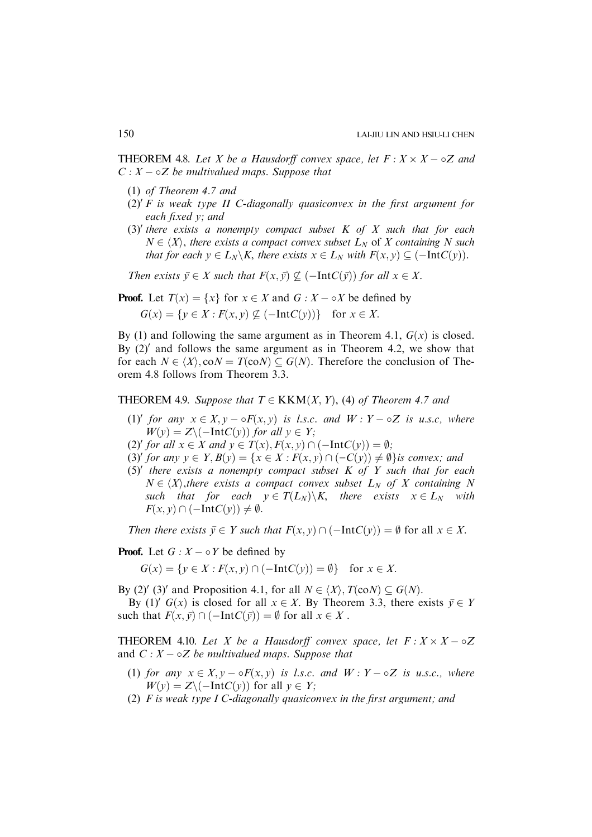**THEOREM** 4.8. Let X be a Hausdorff convex space, let  $F: X \times X - \circ Z$  and  $C: X - \circ Z$  be multivalued maps. Suppose that

- (1) of Theorem 4.7 and
- $(2)'$  F is weak type II C-diagonally quasiconvex in the first argument for each fixed y; and
- (3)' there exists a nonempty compact subset  $K$  of  $X$  such that for each  $N \in \langle X \rangle$ , there exists a compact convex subset  $L_N$  of X containing N such that for each  $y \in L_N \backslash K$ , there exists  $x \in L_N$  with  $F(x, y) \subseteq (-IntC(y))$ .

Then exists  $\bar{y} \in X$  such that  $F(x, \bar{y}) \nsubseteq (-IntC(\bar{y}))$  for all  $x \in X$ .

**Proof.** Let  $T(x) = \{x\}$  for  $x \in X$  and  $G : X - \circ X$  be defined by

 $G(x) = \{y \in X : F(x, y) \not\subseteq (-IntC(y))\}$  for  $x \in X$ .

By (1) and following the same argument as in Theorem 4.1,  $G(x)$  is closed. By  $(2)$ <sup>'</sup> and follows the same argument as in Theorem 4.2, we show that for each  $N \in \langle X \rangle$ , co $N = T(\text{co}N) \subseteq G(N)$ . Therefore the conclusion of Theorem 4.8 follows from Theorem 3.3.

**THEOREM 4.9.** Suppose that  $T \in KKM(X, Y)$ , (4) of Theorem 4.7 and

- (1)' for any  $x \in X$ ,  $y \circ F(x, y)$  is l.s.c. and  $W : Y \circ Z$  is u.s.c, where  $W(v) = Z \setminus (-IntC(v))$  for all  $v \in Y$ ;
- (2)' for all  $x \in X$  and  $y \in T(x)$ ,  $F(x, y) \cap (-IntC(y)) = \emptyset;$
- (3)' for any  $y \in Y$ ,  $B(y) = \{x \in X : F(x, y) \cap (-C(y)) \neq \emptyset\}$  is convex; and
- (5)' there exists a nonempty compact subset  $K$  of  $Y$  such that for each  $N \in \langle X \rangle$ , there exists a compact convex subset  $L_N$  of X containing N such that for each  $y \in T(L_N) \backslash K$ , there exists  $x \in L_N$  with  $F(x, y) \cap (-IntC(y)) \neq \emptyset.$

Then there exists  $\bar{y} \in Y$  such that  $F(x, y) \cap (-IntC(y)) = \emptyset$  for all  $x \in X$ .

**Proof.** Let  $G: X \to Y$  be defined by

 $G(x) = \{y \in X : F(x, y) \cap (-IntC(y)) = \emptyset\}$  for  $x \in X$ .

By (2)' (3)' and Proposition 4.1, for all  $N \in \langle X \rangle$ ,  $T(\text{co}N) \subset G(N)$ .

By (1)' G(x) is closed for all  $x \in X$ . By Theorem 3.3, there exists  $\bar{y} \in Y$ such that  $F(x, \bar{y}) \cap (-IntC(\bar{y})) = \emptyset$  for all  $x \in X$ .

**THEOREM** 4.10. Let X be a Hausdorff convex space, let  $F: X \times X \to \infty$ and  $C: X - \circ Z$  be multivalued maps. Suppose that

- (1) for any  $x \in X$ ,  $y \circ F(x, y)$  is l.s.c. and  $W : Y \circ Z$  is u.s.c., where  $W(y) = Z \setminus (-IntC(y))$  for all  $y \in Y$ ;
- (2)  $F$  is weak type I C-diagonally quasiconvex in the first argument; and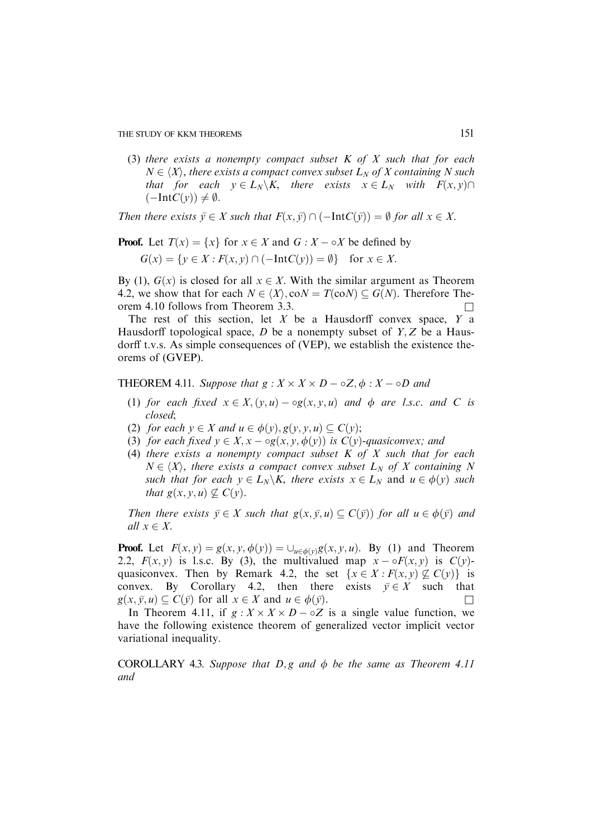(3) there exists a nonempty compact subset  $K$  of  $X$  such that for each  $N \in \langle X \rangle$ , there exists a compact convex subset  $L_N$  of X containing N such that for each  $y \in L_N \backslash K$ , there exists  $x \in L_N$  with  $F(x, y) \cap$  $(-IntC(v)) \neq \emptyset$ .

Then there exists  $\bar{y} \in X$  such that  $F(x, \bar{y}) \cap (-IntC(\bar{y})) = \emptyset$  for all  $x \in X$ .

**Proof.** Let 
$$
T(x) = \{x\}
$$
 for  $x \in X$  and  $G : X - \circ X$  be defined by  

$$
G(x) = \{y \in X : F(x, y) \cap (-\text{Int}C(y)) = \emptyset\} \text{ for } x \in X.
$$

By (1),  $G(x)$  is closed for all  $x \in X$ . With the similar argument as Theorem 4.2, we show that for each  $N \in \langle X \rangle$ , co $N = T(\text{co}N) \subset G(N)$ . Therefore Theorem 4.10 follows from Theorem 3.3.  $\Box$ 

The rest of this section, let  $X$  be a Hausdorff convex space,  $Y$  a Hausdorff topological space,  $D$  be a nonempty subset of  $Y, Z$  be a Hausdorff t.v.s. As simple consequences of (VEP), we establish the existence theorems of (GVEP).

**THEOREM 4.11.** Suppose that  $g: X \times X \times D - \circ Z, \phi: X - \circ D$  and

- (1) for each fixed  $x \in X$ ,  $(y, u) \log(x, y, u)$  and  $\phi$  are l.s.c. and C is closed;
- (2) for each  $y \in X$  and  $u \in \phi(y), g(y, y, u) \subseteq C(y)$ ;
- (3) for each fixed  $y \in X$ ,  $x \log(x, y, \phi(y))$  is  $C(y)$ -quasiconvex; and
- (4) there exists a nonempty compact subset  $K$  of  $X$  such that for each  $N \in \langle X \rangle$ , there exists a compact convex subset  $L_N$  of X containing N such that for each  $y \in L_N \backslash K$ , there exists  $x \in L_N$  and  $u \in \phi(y)$  such that  $g(x, y, u) \nsubseteq C(y)$ .

Then there exists  $\bar{y} \in X$  such that  $g(x, \bar{y}, u) \subseteq C(\bar{y})$  for all  $u \in \phi(\bar{y})$  and all  $x \in X$ .

**Proof.** Let  $F(x, y) = g(x, y, \phi(y)) = \bigcup_{u \in \phi(y)} g(x, y, u)$ . By (1) and Theorem 2.2,  $F(x, y)$  is l.s.c. By (3), the multivalued map  $x - \sigma F(x, y)$  is  $C(y)$ quasiconvex. Then by Remark 4.2, the set  $\{x \in X : F(x, y) \not\subseteq C(y)\}\$  is convex. By Corollary 4.2, then there exists  $\bar{y} \in X$  such that  $g(x, \bar{y}, u) \subseteq C(\bar{y})$  for all  $x \in X$  and  $u \in \phi(\bar{y})$ .

In Theorem 4.11, if  $g: X \times X \times D - \circ Z$  is a single value function, we have the following existence theorem of generalized vector implicit vector variational inequality.

COROLLARY 4.3. Suppose that  $D, g$  and  $\phi$  be the same as Theorem 4.11 and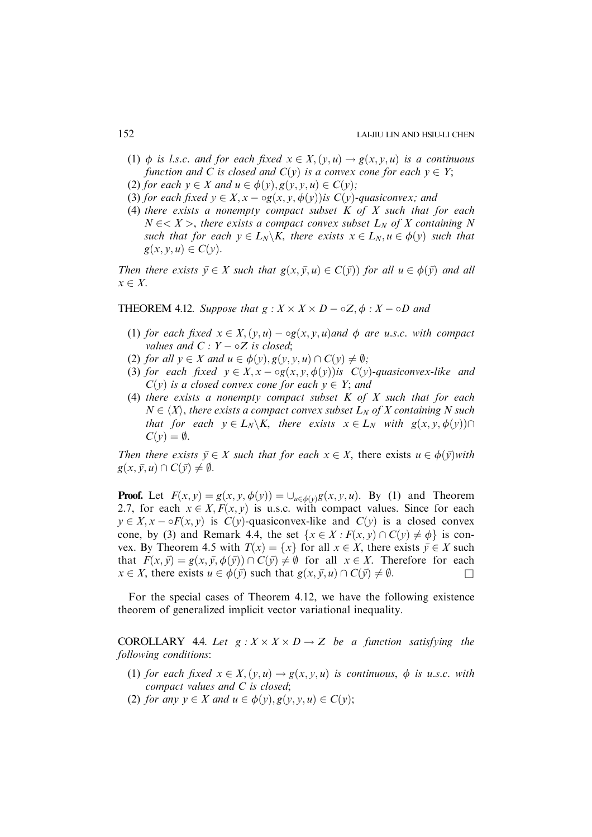- (1)  $\phi$  is l.s.c. and for each fixed  $x \in X$ ;  $(y, u) \rightarrow g(x, y, u)$  is a continuous function and C is closed and  $C(y)$  is a convex cone for each  $y \in Y$ ;
- (2) for each  $y \in X$  and  $u \in \phi(y), g(y, y, u) \in C(y)$ ;
- (3) for each fixed  $y \in X$ ,  $x \log(x, y, \phi(y))$  is  $C(y)$ -quasiconvex; and
- (4) there exists a nonempty compact subset  $K$  of  $X$  such that for each  $N \in < X >$ , there exists a compact convex subset  $L_N$  of X containing N such that for each  $y \in L_N \backslash K$ , there exists  $x \in L_N, u \in \phi(y)$  such that  $g(x, y, u) \in C(y)$ .

Then there exists  $\bar{y} \in X$  such that  $g(x, \bar{y}, u) \in C(\bar{y})$  for all  $u \in \phi(\bar{y})$  and all  $x \in X$ .

**THEOREM 4.12.** Suppose that  $g: X \times X \times D - \circ Z, \phi: X - \circ D$  and

- (1) for each fixed  $x \in X$ ;  $(y, u) \log(x, y, u)$  and  $\phi$  are u.s.c. with compact values and  $C: Y - \circ Z$  is closed;
- (2) for all  $y \in X$  and  $u \in \phi(y), g(y, y, u) \cap C(y) \neq \emptyset;$
- (3) for each fixed  $y \in X$ ,  $x \log(x, y, \phi(y))$  is  $C(y)$ -quasiconvex-like and  $C(y)$  is a closed convex cone for each  $y \in Y$ ; and
- (4) there exists a nonempty compact subset  $K$  of  $X$  such that for each  $N \in \langle X \rangle$ , there exists a compact convex subset  $L_N$  of X containing N such that for each  $y \in L_N \backslash K$ , there exists  $x \in L_N$  with  $g(x, y, \phi(y)) \cap$  $C(\nu)=\emptyset$ .

Then there exists  $\bar{y} \in X$  such that for each  $x \in X$ , there exists  $u \in \phi(\bar{y})$  with  $g(x, \bar{y}, u) \cap C(\bar{y}) \neq \emptyset.$ 

**Proof.** Let  $F(x, y) = g(x, y, \phi(y)) = \bigcup_{u \in \phi(y)} g(x, y, u)$ . By (1) and Theorem 2.7, for each  $x \in X$ ;  $F(x, y)$  is u.s.c. with compact values. Since for each  $y \in X$ ,  $x - \sigma F(x, y)$  is  $C(y)$ -quasiconvex-like and  $C(y)$  is a closed convex cone, by (3) and Remark 4.4, the set  $\{x \in X : F(x, y) \cap C(y) \neq \phi\}$  is convex. By Theorem 4.5 with  $T(x) = \{x\}$  for all  $x \in X$ , there exists  $\bar{y} \in X$  such that  $F(x, \bar{y}) = g(x, \bar{y}, \phi(\bar{y})) \cap C(\bar{y}) \neq \emptyset$  for all  $x \in X$ . Therefore for each  $x \in X$ , there exists  $u \in \phi(\bar{y})$  such that  $g(x, \bar{y}, u) \cap C(\bar{y}) \neq \emptyset$ .

For the special cases of Theorem 4.12, we have the following existence theorem of generalized implicit vector variational inequality.

**COROLLARY** 4.4. Let  $g: X \times X \times D \rightarrow Z$  be a function satisfying the following conditions:

- (1) for each fixed  $x \in X$ ;  $(v, u) \rightarrow g(x, v, u)$  is continuous,  $\phi$  is u.s.c. with compact values and C is closed;
- (2) for any  $y \in X$  and  $u \in \phi(y), g(y, y, u) \in C(y)$ ;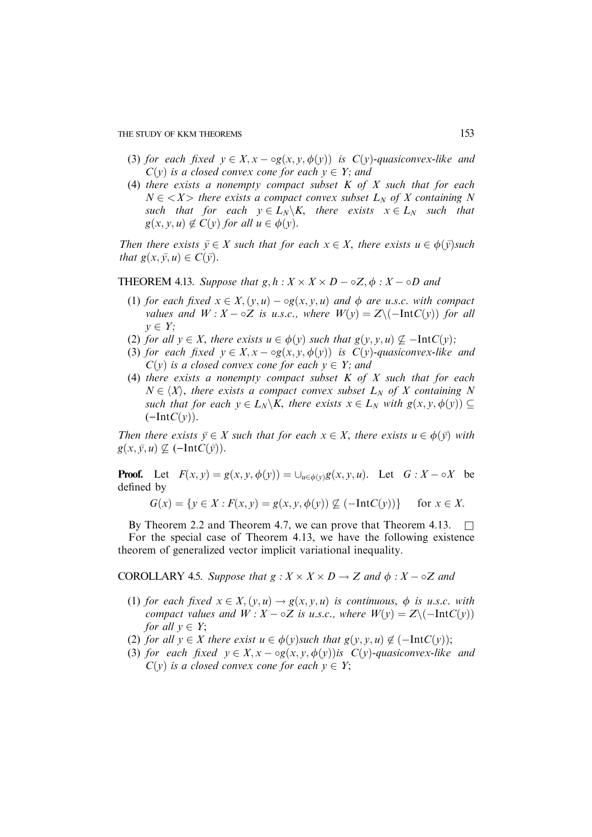- (3) for each fixed  $y \in X$ ,  $x \log(x, y, \phi(y))$  is  $C(y)$ -quasiconvex-like and  $C(y)$  is a closed convex cone for each  $y \in Y$ ; and
- (4) there exists a nonempty compact subset  $K$  of  $X$  such that for each  $N \in \langle X \rangle$  there exists a compact convex subset  $L_N$  of X containing N such that for each  $y \in L_N \backslash K$ , there exists  $x \in L_N$  such that  $g(x, y, u) \notin C(y)$  for all  $u \in \phi(y)$ .

Then there exists  $\bar{y} \in X$  such that for each  $x \in X$ , there exists  $u \in \phi(\bar{y})$ such that  $g(x, \bar{y}, u) \in C(\bar{y})$ .

**THEOREM 4.13.** Suppose that  $g, h: X \times X \times D - \circ Z, \phi: X - \circ D$  and

- (1) for each fixed  $x \in X$ ,  $(y, u) \log(x, y, u)$  and  $\phi$  are u.s.c. with compact values and  $W: X - \circ Z$  is u.s.c., where  $W(y) = Z \setminus (-IntC(y))$  for all  $v \in Y$ :
- (2) for all  $y \in X$ , there exists  $u \in \phi(y)$  such that  $g(y, y, u) \nsubseteq -IntC(y)$ ;
- (3) for each fixed  $y \in X$ ,  $x \log(x, y, \phi(y))$  is  $C(y)$ -quasiconvex-like and  $C(y)$  is a closed convex cone for each  $y \in Y$ ; and
- (4) there exists a nonempty compact subset  $K$  of  $X$  such that for each  $N \in \langle X \rangle$ , there exists a compact convex subset  $L_N$  of X containing N such that for each  $y \in L_N \backslash K$ , there exists  $x \in L_N$  with  $g(x, y, \phi(y)) \subseteq$  $(-IntC(v)).$

Then there exists  $\bar{y} \in X$  such that for each  $x \in X$ , there exists  $u \in \phi(\bar{y})$  with  $g(x, \bar{y}, u) \nsubseteq (-IntC(\bar{y}))$ .

**Proof.** Let  $F(x, y) = g(x, y, \phi(y)) = \bigcup_{u \in \phi(y)} g(x, y, u)$ . Let  $G : X - \circ X$  be defined by

$$
G(x) = \{ y \in X : F(x, y) = g(x, y, \phi(y)) \not\subseteq (-\text{Int}C(y)) \} \text{ for } x \in X.
$$

By Theorem 2.2 and Theorem 4.7, we can prove that Theorem 4.13.  $\Box$ For the special case of Theorem 4.13, we have the following existence theorem of generalized vector implicit variational inequality.

COROLLARY 4.5. Suppose that  $g: X \times X \times D \to Z$  and  $\phi: X - \circ Z$  and

- (1) for each fixed  $x \in X$ ;  $(y, u) \rightarrow g(x, y, u)$  is continuous,  $\phi$  is u.s.c. with compact values and  $W : X - \circ Z$  is u.s.c., where  $W(y) = Z \setminus (-IntC(y))$ for all  $v \in Y$ ;
- (2) for all  $y \in X$  there exist  $u \in \phi(y)$ such that  $g(y, y, u) \notin (-IntC(y));$
- (3) for each fixed  $y \in X$ ,  $x \log(x, y, \phi(y))$  is  $C(y)$ -quasiconvex-like and  $C(y)$  is a closed convex cone for each  $y \in Y$ ;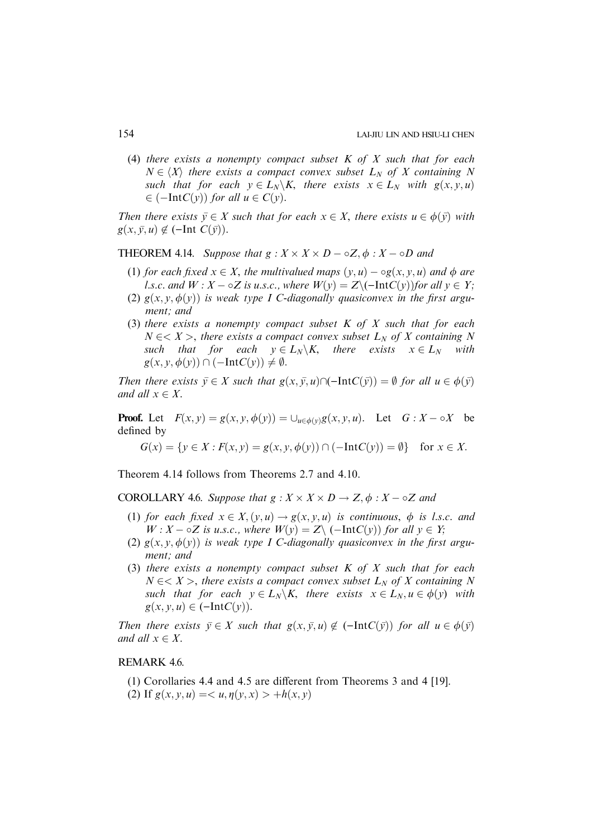(4) there exists a nonempty compact subset  $K$  of  $X$  such that for each  $N \in \langle X \rangle$  there exists a compact convex subset  $L_N$  of X containing N such that for each  $y \in L_N \backslash K$ , there exists  $x \in L_N$  with  $g(x, y, u)$  $\in (-IntC(y))$  for all  $u \in C(y)$ .

Then there exists  $\bar{y} \in X$  such that for each  $x \in X$ , there exists  $u \in \phi(\bar{y})$  with  $g(x, \bar{y}, u) \notin (-Int C(\bar{y})).$ 

# **THEOREM 4.14.** Suppose that  $g: X \times X \times D - \circ Z, \phi: X - \circ D$  and

- (1) for each fixed  $x \in X$ , the multivalued maps  $(y, u) \log(x, y, u)$  and  $\phi$  are l.s.c. and  $W: X - \circ Z$  is u.s.c., where  $W(y) = Z \setminus (-IntC(y))$  for all  $y \in Y$ ;
- (2)  $g(x, y, \phi(y))$  is weak type I C-diagonally quasiconvex in the first argument; and
- (3) there exists a nonempty compact subset  $K$  of  $X$  such that for each  $N \in \langle X \rangle$ , there exists a compact convex subset  $L_N$  of X containing N such that for each  $y \in L_N \backslash K$ , there exists  $x \in L_N$  with  $g(x, y, \phi(y)) \cap (-IntC(y)) \neq \emptyset.$

Then there exists  $\bar{y} \in X$  such that  $g(x, \bar{y}, u) \cap (-IntC(\bar{y})) = \emptyset$  for all  $u \in \phi(\bar{y})$ and all  $x \in X$ .

**Proof.** Let  $F(x, y) = g(x, y, \phi(y)) = \bigcup_{u \in \phi(y)} g(x, y, u)$ . Let  $G : X - \circ X$  be defined by

$$
G(x) = \{ y \in X : F(x, y) = g(x, y, \phi(y)) \cap (-Int C(y)) = \emptyset \} \text{ for } x \in X.
$$

Theorem 4.14 follows from Theorems 2.7 and 4.10.

COROLLARY 4.6. Suppose that  $g: X \times X \times D \rightarrow Z, \phi: X \rightarrow Z$  and

- (1) for each fixed  $x \in X$ ;  $(y, u) \rightarrow g(x, y, u)$  is continuous,  $\phi$  is l.s.c. and  $W: X - \circ Z$  is u.s.c., where  $W(y) = Z \setminus (-IntC(y))$  for all  $y \in Y$ ;
- (2)  $g(x, y, \phi(y))$  is weak type I C-diagonally quasiconvex in the first argument; and
- (3) there exists a nonempty compact subset  $K$  of  $X$  such that for each  $N \in < X >$ , there exists a compact convex subset  $L_N$  of X containing N such that for each  $y \in L_N \backslash K$ , there exists  $x \in L_N, u \in \phi(y)$  with  $g(x, y, u) \in (-IntC(y)).$

Then there exists  $\bar{y} \in X$  such that  $g(x, \bar{y}, u) \notin (-IntC(\bar{y}))$  for all  $u \in \phi(\bar{y})$ and all  $x \in X$ .

# REMARK 4.6.

- (1) Corollaries 4.4 and 4.5 are different from Theorems 3 and 4 [19].
- (2) If  $g(x, y, u) = \langle u, \eta(y, x) \rangle + h(x, y)$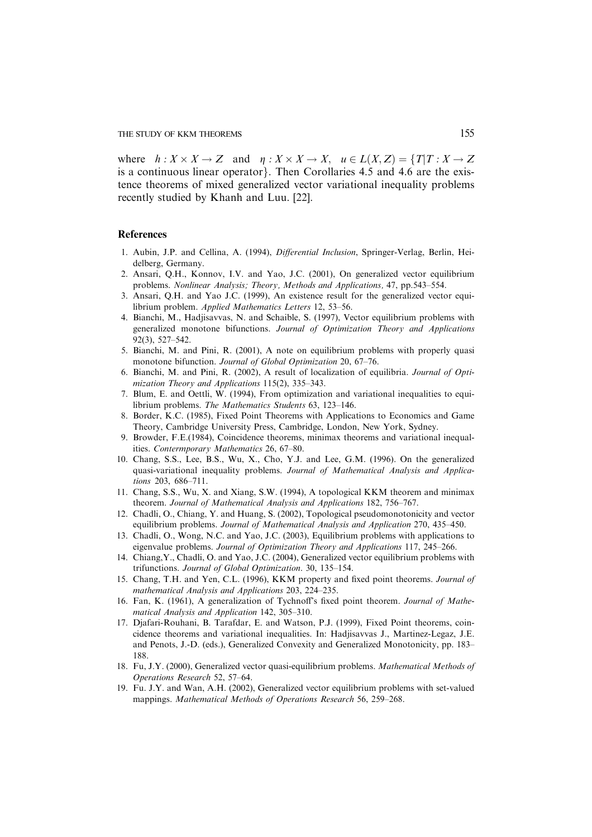where  $h: X \times X \to Z$  and  $\eta: X \times X \to X$ ,  $u \in L(X,Z) = \{T | T: X \to Z\}$ is a continuous linear operator}. Then Corollaries  $4.5$  and  $4.6$  are the existence theorems of mixed generalized vector variational inequality problems recently studied by Khanh and Luu. [22].

# **References**

- 1. Aubin, J.P. and Cellina, A. (1994), Differential Inclusion, Springer-Verlag, Berlin, Heidelberg, Germany.
- 2. Ansari, Q.H., Konnov, I.V. and Yao, J.C. (2001), On generalized vector equilibrium problems. Nonlinear Analysis; Theory, Methods and Applications, 47, pp.543–554.
- 3. Ansari, Q.H. and Yao J.C. (1999), An existence result for the generalized vector equilibrium problem. Applied Mathematics Letters 12, 53–56.
- 4. Bianchi, M., Hadjisavvas, N. and Schaible, S. (1997), Vector equilibrium problems with generalized monotone bifunctions. Journal of Optimization Theory and Applications 92(3), 527–542.
- 5. Bianchi, M. and Pini, R. (2001), A note on equilibrium problems with properly quasi monotone bifunction. Journal of Global Optimization 20, 67–76.
- 6. Bianchi, M. and Pini, R. (2002), A result of localization of equilibria. Journal of Optimization Theory and Applications 115(2), 335–343.
- 7. Blum, E. and Oettli, W. (1994), From optimization and variational inequalities to equilibrium problems. The Mathematics Students 63, 123–146.
- 8. Border, K.C. (1985), Fixed Point Theorems with Applications to Economics and Game Theory, Cambridge University Press, Cambridge, London, New York, Sydney.
- 9. Browder, F.E.(1984), Coincidence theorems, minimax theorems and variational inequalities. Contermporary Mathematics 26, 67–80.
- 10. Chang, S.S., Lee, B.S., Wu, X., Cho, Y.J. and Lee, G.M. (1996). On the generalized quasi-variational inequality problems. Journal of Mathematical Analysis and Applications 203, 686–711.
- 11. Chang, S.S., Wu, X. and Xiang, S.W. (1994), A topological KKM theorem and minimax theorem. Journal of Mathematical Analysis and Applications 182, 756–767.
- 12. Chadli, O., Chiang, Y. and Huang, S. (2002), Topological pseudomonotonicity and vector equilibrium problems. Journal of Mathematical Analysis and Application 270, 435–450.
- 13. Chadli, O., Wong, N.C. and Yao, J.C. (2003), Equilibrium problems with applications to eigenvalue problems. Journal of Optimization Theory and Applications 117, 245–266.
- 14. Chiang,Y., Chadli, O. and Yao, J.C. (2004), Generalized vector equilibrium problems with trifunctions. Journal of Global Optimization. 30, 135–154.
- 15. Chang, T.H. and Yen, C.L. (1996), KKM property and fixed point theorems. Journal of mathematical Analysis and Applications 203, 224–235.
- 16. Fan, K. (1961), A generalization of Tychnoff's fixed point theorem. Journal of Mathematical Analysis and Application 142, 305–310.
- 17. Djafari-Rouhani, B. Tarafdar, E. and Watson, P.J. (1999), Fixed Point theorems, coincidence theorems and variational inequalities. In: Hadjisavvas J., Martinez-Legaz, J.E. and Penots, J.-D. (eds.), Generalized Convexity and Generalized Monotonicity, pp. 183– 188.
- 18. Fu, J.Y. (2000), Generalized vector quasi-equilibrium problems. Mathematical Methods of Operations Research 52, 57–64.
- 19. Fu. J.Y. and Wan, A.H. (2002), Generalized vector equilibrium problems with set-valued mappings. Mathematical Methods of Operations Research 56, 259–268.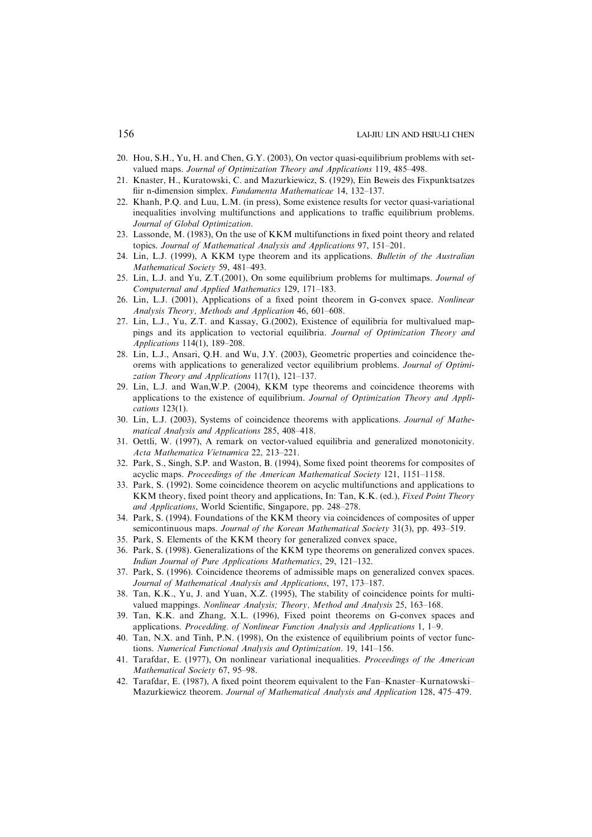- 20. Hou, S.H., Yu, H. and Chen, G.Y. (2003), On vector quasi-equilibrium problems with setvalued maps. Journal of Optimization Theory and Applications 119, 485–498.
- 21. Knaster, H., Kuratowski, C. and Mazurkiewicz, S. (1929), Ein Beweis des Fixpunktsatzes fiir n-dimension simplex. Fundamenta Mathematicae 14, 132–137.
- 22. Khanh, P.Q. and Luu, L.M. (in press), Some existence results for vector quasi-variational inequalities involving multifunctions and applications to traffic equilibrium problems. Journal of Global Optimization.
- 23. Lassonde, M. (1983), On the use of KKM multifunctions in fixed point theory and related topics. Journal of Mathematical Analysis and Applications 97, 151–201.
- 24. Lin, L.J. (1999), A KKM type theorem and its applications. Bulletin of the Australian Mathematical Society 59, 481–493.
- 25. Lin, L.J. and Yu, Z.T.(2001), On some equilibrium problems for multimaps. Journal of Computernal and Applied Mathematics 129, 171–183.
- 26. Lin, L.J. (2001), Applications of a fixed point theorem in G-convex space. Nonlinear Analysis Theory, Methods and Application 46, 601–608.
- 27. Lin, L.J., Yu, Z.T. and Kassay, G.(2002), Existence of equilibria for multivalued mappings and its application to vectorial equilibria. Journal of Optimization Theory and Applications 114(1), 189–208.
- 28. Lin, L.J., Ansari, Q.H. and Wu, J.Y. (2003), Geometric properties and coincidence theorems with applications to generalized vector equilibrium problems. Journal of Optimization Theory and Applications 117(1), 121–137.
- 29. Lin, L.J. and Wan,W.P. (2004), KKM type theorems and coincidence theorems with applications to the existence of equilibrium. Journal of Optimization Theory and Applications 123(1).
- 30. Lin, L.J. (2003), Systems of coincidence theorems with applications. Journal of Mathematical Analysis and Applications 285, 408–418.
- 31. Oettli, W. (1997), A remark on vector-valued equilibria and generalized monotonicity. Acta Mathematica Vietnamica 22, 213–221.
- 32. Park, S., Singh, S.P. and Waston, B. (1994), Some fixed point theorems for composites of acyclic maps. Proceedings of the American Mathematical Society 121, 1151–1158.
- 33. Park, S. (1992). Some coincidence theorem on acyclic multifunctions and applications to KKM theory, fixed point theory and applications, In: Tan, K.K. (ed.), Fixed Point Theory and Applications, World Scientific, Singapore, pp. 248–278.
- 34. Park, S. (1994). Foundations of the KKM theory via coincidences of composites of upper semicontinuous maps. Journal of the Korean Mathematical Society 31(3), pp. 493–519.
- 35. Park, S. Elements of the KKM theory for generalized convex space,
- 36. Park, S. (1998). Generalizations of the KKM type theorems on generalized convex spaces. Indian Journal of Pure Applications Mathematics, 29, 121–132.
- 37. Park, S. (1996). Coincidence theorems of admissible maps on generalized convex spaces. Journal of Mathematical Analysis and Applications, 197, 173–187.
- 38. Tan, K.K., Yu, J. and Yuan, X.Z. (1995), The stability of coincidence points for multivalued mappings. Nonlinear Analysis; Theory, Method and Analysis 25, 163–168.
- 39. Tan, K.K. and Zhang, X.L. (1996), Fixed point theorems on G-convex spaces and applications. Procedding. of Nonlinear Function Analysis and Applications 1, 1–9.
- 40. Tan, N.X. and Tinh, P.N. (1998), On the existence of equilibrium points of vector functions. Numerical Functional Analysis and Optimization. 19, 141–156.
- 41. Tarafdar, E. (1977), On nonlinear variational inequalities. Proceedings of the American Mathematical Society 67, 95–98.
- 42. Tarafdar, E. (1987), A fixed point theorem equivalent to the Fan–Knaster–Kurnatowski– Mazurkiewicz theorem. Journal of Mathematical Analysis and Application 128, 475–479.